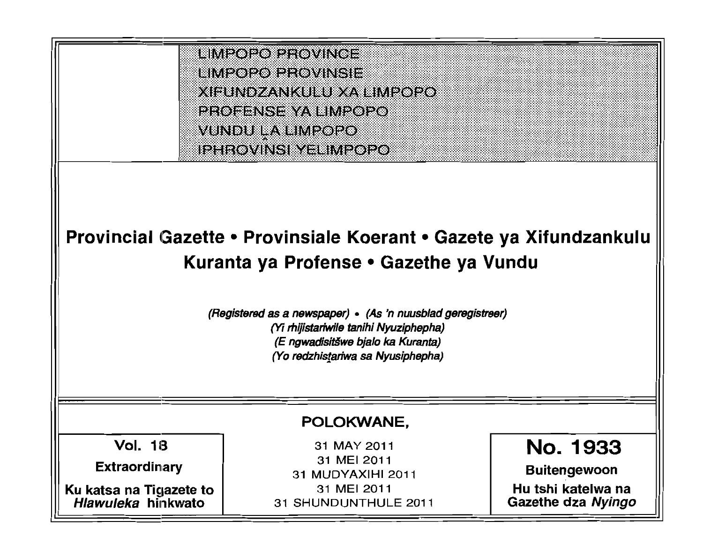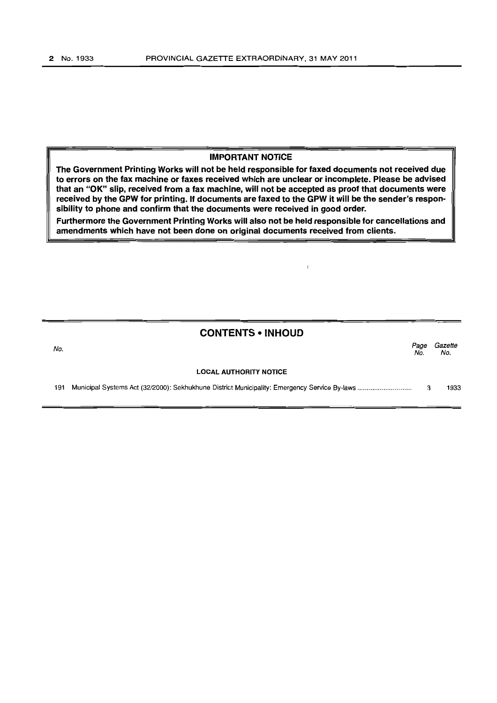#### IMPORTANT NOTICE

The Government Printing Works will not be held responsible for faxed documents not received due to errors on the fax machine or faxes received which are unclear or incomplete. Please be advised that an "OK" slip, received from a fax machine, will not be accepted as proof that documents were received by the GPW for printing. If documents are faxed to the GPW it will be the sender's responsibility to phone and confirm that the documents were received in good order.

Furthermore the Government Printing Works will also not be held responsible for cancellations and amendments which have not been done on original documents received from clients.

#### CONTENTS • INHOUD

No. Page Gazette No. No. LOCAL AUTHORITY NOTICE 191 Municipal Systems Act (3212000): Sekhukhune District Municipality: Emergency Service By-laws ............................ . 3 1933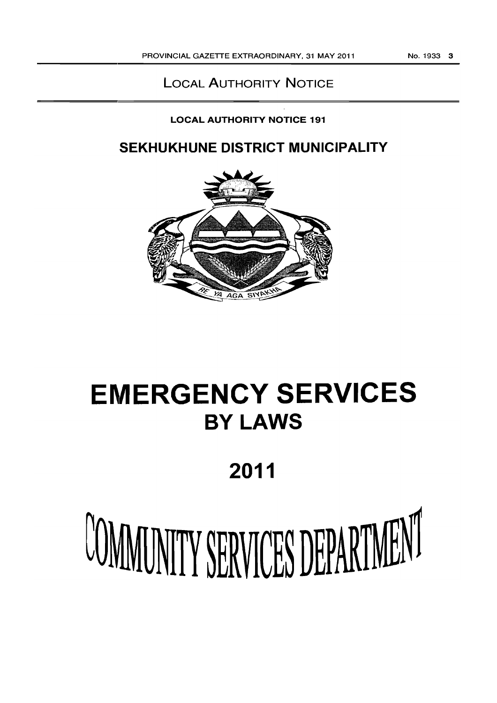### LOCAL AUTHORITY NOTICE

**LOCAL AUTHORITY NOTICE 191** 

## **SEKHUKHUNE DISTRICT MUNICIPALITY**



# **EMERGENCY SERVICES BYLAWS**

## **2011**

# COMMUNITY SERVICES DEPARTMENT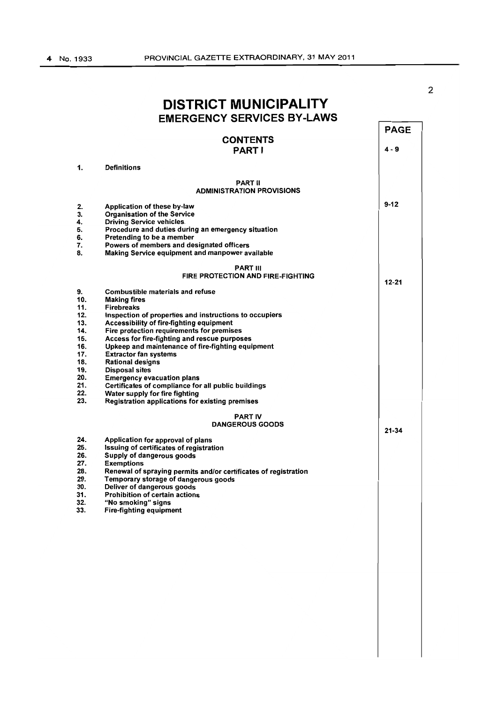|                                                                                                      | <b>DISTRICT MUNICIPALITY</b><br><b>EMERGENCY SERVICES BY-LAWS</b>                                                                                                                                                                                                                                                                                                                                                                                                                                                                                                                                                           |             |
|------------------------------------------------------------------------------------------------------|-----------------------------------------------------------------------------------------------------------------------------------------------------------------------------------------------------------------------------------------------------------------------------------------------------------------------------------------------------------------------------------------------------------------------------------------------------------------------------------------------------------------------------------------------------------------------------------------------------------------------------|-------------|
|                                                                                                      |                                                                                                                                                                                                                                                                                                                                                                                                                                                                                                                                                                                                                             | <b>PAGE</b> |
|                                                                                                      | <b>CONTENTS</b><br>PART I                                                                                                                                                                                                                                                                                                                                                                                                                                                                                                                                                                                                   | $4 - 9$     |
|                                                                                                      |                                                                                                                                                                                                                                                                                                                                                                                                                                                                                                                                                                                                                             |             |
| 1.                                                                                                   | <b>Definitions</b>                                                                                                                                                                                                                                                                                                                                                                                                                                                                                                                                                                                                          |             |
|                                                                                                      | <b>PART II</b><br><b>ADMINISTRATION PROVISIONS</b>                                                                                                                                                                                                                                                                                                                                                                                                                                                                                                                                                                          |             |
| 2.<br>3.<br>4.<br>5.<br>6.<br>7.<br>8.                                                               | Application of these by-law<br><b>Organisation of the Service</b><br><b>Driving Service vehicles.</b><br>Procedure and duties during an emergency situation<br>Pretending to be a member<br>Powers of members and designated officers<br>Making Service equipment and manpower available                                                                                                                                                                                                                                                                                                                                    | $9 - 12$    |
|                                                                                                      | <b>PART III</b>                                                                                                                                                                                                                                                                                                                                                                                                                                                                                                                                                                                                             |             |
|                                                                                                      | <b>FIRE PROTECTION AND FIRE-FIGHTING</b>                                                                                                                                                                                                                                                                                                                                                                                                                                                                                                                                                                                    | $12 - 21$   |
| 9.<br>10.<br>11.<br>12.<br>13.<br>14.<br>15.<br>16.<br>17.<br>18.<br>19.<br>20.<br>21.<br>22.<br>23. | <b>Combustible materials and refuse</b><br><b>Making fires</b><br><b>Firebreaks</b><br>Inspection of properties and instructions to occupiers<br>Accessibility of fire-fighting equipment<br>Fire protection requirements for premises<br>Access for fire-fighting and rescue purposes<br>Upkeep and maintenance of fire-fighting equipment<br><b>Extractor fan systems</b><br><b>Rational designs</b><br><b>Disposal sites</b><br><b>Emergency evacuation plans</b><br>Certificates of compliance for all public buildings<br>Water supply for fire fighting<br>Registration applications for existing premises<br>PART IV |             |
|                                                                                                      | <b>DANGEROUS GOODS</b>                                                                                                                                                                                                                                                                                                                                                                                                                                                                                                                                                                                                      |             |
| 24.<br>25.<br>26.<br>27.<br>28.<br>29.<br>30.<br>31.<br>32.<br>33.                                   | Application for approval of plans<br>Issuing of certificates of registration<br>Supply of dangerous goods<br><b>Exemptions</b><br>Renewal of spraying permits and/or certificates of registration<br>Temporary storage of dangerous goods<br>Deliver of dangerous goods<br><b>Prohibition of certain actions</b><br>"No smoking" signs<br><b>Fire-fighting equipment</b>                                                                                                                                                                                                                                                    | $21 - 34$   |
|                                                                                                      |                                                                                                                                                                                                                                                                                                                                                                                                                                                                                                                                                                                                                             |             |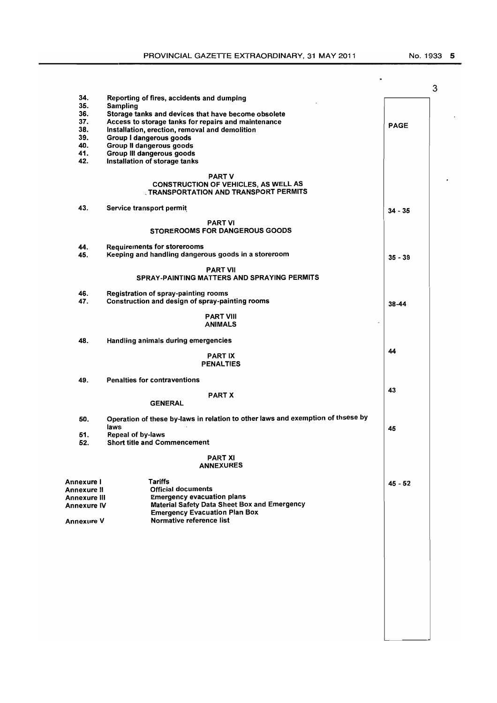|                    |                                                                                 |             | 3 |
|--------------------|---------------------------------------------------------------------------------|-------------|---|
| 34.                | Reporting of fires, accidents and dumping                                       |             |   |
| 35.                | Sampling                                                                        |             |   |
| 36.                | Storage tanks and devices that have become obsolete                             |             |   |
| 37.                | Access to storage tanks for repairs and maintenance                             | <b>PAGE</b> |   |
| 38.                | Installation, erection, removal and demolition                                  |             |   |
| 39.                | Group I dangerous goods                                                         |             |   |
| 40.                | Group II dangerous goods                                                        |             |   |
| 41.                | Group III dangerous goods                                                       |             |   |
| 42.                | Installation of storage tanks                                                   |             |   |
|                    | <b>PART V</b>                                                                   |             |   |
|                    | <b>CONSTRUCTION OF VEHICLES, AS WELL AS</b>                                     |             |   |
|                    | TRANSPORTATION AND TRANSPORT PERMITS                                            |             |   |
|                    |                                                                                 |             |   |
| 43.                | Service transport permit                                                        |             |   |
|                    |                                                                                 | $34 - 35$   |   |
|                    | <b>PART VI</b>                                                                  |             |   |
|                    | <b>STOREROOMS FOR DANGEROUS GOODS</b>                                           |             |   |
|                    |                                                                                 |             |   |
| 44.                | <b>Requirements for storerooms</b>                                              |             |   |
| 45.                | Keeping and handling dangerous goods in a storeroom                             | $35 - 39$   |   |
|                    |                                                                                 |             |   |
|                    | <b>PART VII</b>                                                                 |             |   |
|                    | SPRAY-PAINTING MATTERS AND SPRAYING PERMITS                                     |             |   |
|                    |                                                                                 |             |   |
| 46.                | Registration of spray-painting rooms                                            |             |   |
| 47.                | Construction and design of spray-painting rooms                                 | $38 - 44$   |   |
|                    | <b>PART VIII</b>                                                                |             |   |
|                    | <b>ANIMALS</b>                                                                  |             |   |
|                    |                                                                                 |             |   |
| 48.                | Handling animals during emergencies                                             |             |   |
|                    |                                                                                 | 44          |   |
|                    | <b>PART IX</b>                                                                  |             |   |
|                    | <b>PENALTIES</b>                                                                |             |   |
|                    |                                                                                 |             |   |
| 49.                | <b>Penalties for contraventions</b>                                             |             |   |
|                    |                                                                                 | 43          |   |
|                    | <b>PART X</b>                                                                   |             |   |
|                    | <b>GENERAL</b>                                                                  |             |   |
|                    | Operation of these by-laws in relation to other laws and exemption of thsese by |             |   |
| 50.                | laws                                                                            |             |   |
| 51.                | Repeal of by-laws                                                               | 45          |   |
| 52.                | <b>Short title and Commencement</b>                                             |             |   |
|                    |                                                                                 |             |   |
|                    | <b>PART XI</b>                                                                  |             |   |
|                    | <b>ANNEXURES</b>                                                                |             |   |
|                    |                                                                                 |             |   |
| Annexure I         | Tariffs                                                                         | 45 - 52     |   |
| Annexure II        | <b>Official documents</b>                                                       |             |   |
| Annexure III       | <b>Emergency evacuation plans</b>                                               |             |   |
| <b>Annexure IV</b> | Material Safety Data Sheet Box and Emergency                                    |             |   |
|                    | <b>Emergency Evacuation Plan Box</b>                                            |             |   |
| Annexure V         | Normative reference list                                                        |             |   |
|                    |                                                                                 |             |   |
|                    |                                                                                 |             |   |
|                    |                                                                                 |             |   |
|                    |                                                                                 |             |   |
|                    |                                                                                 |             |   |
|                    |                                                                                 |             |   |
|                    |                                                                                 |             |   |
|                    |                                                                                 |             |   |
|                    |                                                                                 |             |   |
|                    |                                                                                 |             |   |
|                    |                                                                                 |             |   |
|                    |                                                                                 |             |   |
|                    |                                                                                 |             |   |
|                    |                                                                                 |             |   |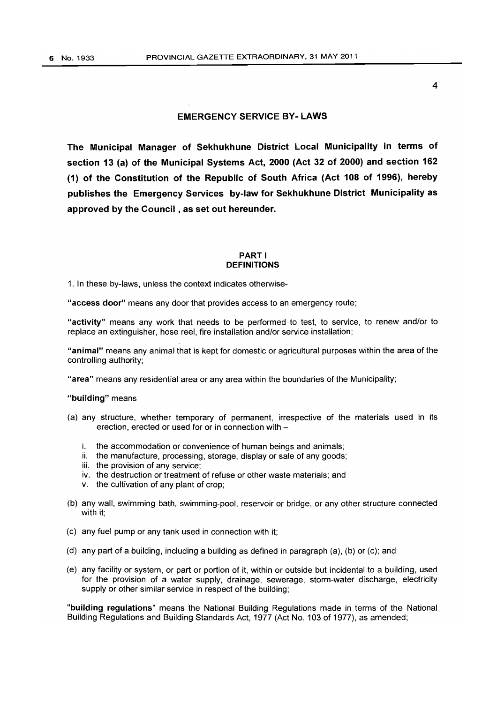#### EMERGENCY SERVICE BY-LAWS

The Municipal Manager of Sekhukhune District Local Municipality in terms of section 13 (a) of the Municipal Systems Act, 2000 (Act 32 of 2000) and section 162 (1) of the Constitution of the Republic of South Africa (Act 108 of 1996), hereby publishes the Emergency Services by-law for Sekhukhune District Municipality as approved by the Council, as set out hereunder.

#### PART I DEFINITIONS

1. In these by-laws, unless the context indicates otherwise-

"access door" means any door that provides access to an emergency route;

"activity" means any work that needs to be performed to test, to service, to renew and/or to replace an extinguisher, hose reel, fire installation and/or service installation;

"animal" means any animal that is kept for domestic or agricultural purposes within the area of the controlling authority;

"area" means any residential area or any area within the boundaries of the Municipality;

#### "building" means

- (a) any structure, whether temporary of permanent, irrespective of the materials used in its erection, erected or used for or in connection with  $$ 
	- i. the accommodation or convenience of human beings and animals;
	- ii. the manufacture, processing, storage, display or sale of any goods;
	- iii. the provision of any service;
	- iv. the destruction or treatment of refuse or other waste materials; and
	- v. the cultivation of any plant of crop;
- (b) any wall, swimming-bath, swimming-pool, reservoir or bridge, or any other structure connected with it;
- (c) any fuel pump or any tank used in connection with it;
- (d) any part of a building, including a building as defined in paragraph (a), (b) or (c); and
- (e) any facility or system, or part or portion of it, within or outside but incidental to a building, used for the provision of a water supply, drainage, sewerage, storm-water discharge, electricity supply or other similar service in respect of the building;

"building regulations" means the National Building Regulations made in terms of the National Building Regulations and Building Standards Act, 1977 (Act No. 103 of 1977), as amended;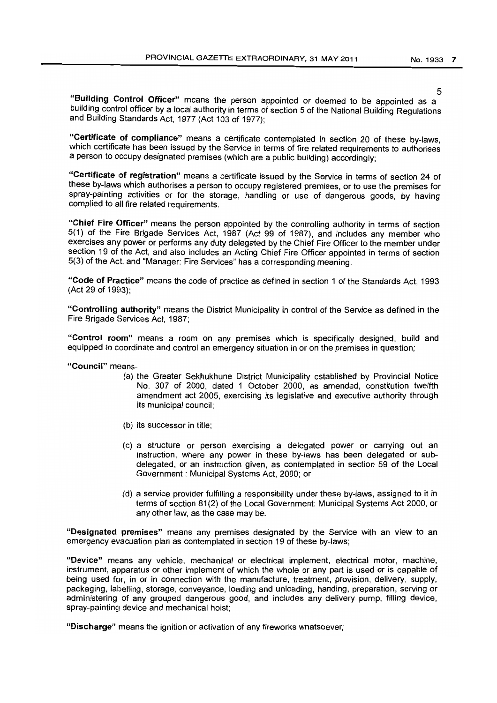"Building Control Officer" means the person appointed or deemed to be appointed as a building control officer by a local authority in terms of section 5 of the National Building Regulations and Building Standards Act, 1977 (Act 103 of 1977);

"Certificate of compliance" means a certificate contemplated in section 20 of these by-laws, which certificate has been issued by the Service in terms of fire related requirements to authorises a person to occupy designated premises (which are a public building) accordingly;

"Certificate of registration" means a certificate issued by the Service in terms of section 24 of these by-laws which authorises a person to occupy registered premises, or to use the premises for spray-painting activities or for the storage, handling or use of dangerous goods, by having complied to all fire related requirements.

"Chief Fire Officer" means the person appointed by the controlling authority in terms of section 5(1) of the Fire Brigade Services Act, 1987 (Act 99 of 1987), and includes any member who exercises any power or performs any duty delegated by the Chief Fire Officer to the member under section 19 of the Act, and also includes an Acting Chief Fire Officer appointed in terms of section 5(3) of the Act, and "Manager: Fire Services" has a corresponding meaning.

"Code of Practice" means the code of practice as defined in section 1 of the Standards Act, 1993 (Act 29 of 1993);

"Controlling authority" means the District Municipality in control of the Service as defined in the Fire Brigade Services Act, 1987;

"Control room" means a room on any premises which is specifically designed, build and equipped to coordinate and control an emergency situation in or on the premises in question;

"Council" means-

- (a) the Greater Sekhukhune District Municipality established by Provincial Notice No. 307 of 2000, dated 1 October 2000, as amended, constitution twelfth amendment act 2005, exercising its legislative and executive authority through its municipal council;
- (b) its successor in title;
- (c) a structure or person exercising a delegated power or carrying out an instruction, where any power in these by-laws has been delegated or subdelegated, or an instruction given, as contemplated in section 59 of the Local Government: Municipal Systems Act, 2000; or
- (d) a service provider fulfilling a responsibility under these by-laws, assigned to it in terms of section 81(2) of the Local Government: Municipal Systems Act 2000, or any other law, as the case may be.

"Designated premises" means any premises designated by the Service with an view to an emergency evacuation plan as contemplated in section 19 of these by-laws;

"Device" means any vehicle, mechanical or electrical implement, electrical motor, machine, instrument, apparatus or other implement of which the whole or any part is used or is capable of being used for, in or in connection with the manufacture, treatment, provision, delivery, supply, packaging, labelling, storage, conveyance, loading and unloading, handing, preparation, serving or administering of any grouped dangerous good, and includes any delivery pump, filling device, spray-painting device and mechanical hoist;

"Discharge" means the ignition or activation of any fireworks whatsoever;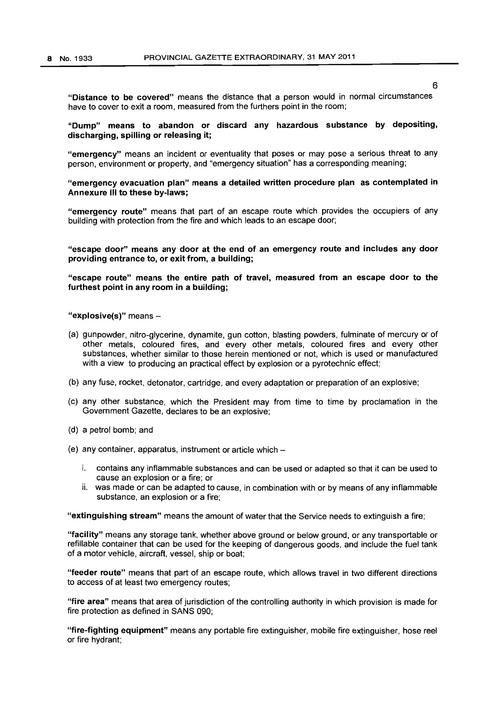"Distance to be covered" means the distance that a person would in normal circumstances have to cover to exit a room, measured from the furthers point in the room;

#### "Dump" means to abandon or discard any hazardous substance by depositing, discharging, spilling or releasing it;

"emergency" means an incident or eventuality that poses or may pose a serious threat to any person, environment or property, and "emergency situation" has a corresponding meaning;

"emergency evacuation plan" means a detailed written procedure plan as contemplated in Annexure III to these by-laws;

"emergency route" means that part of an escape route which provides the occupiers of any building with protection from the fire and which leads to an escape door;

"escape door" means any door at the end of an emergency route and includes any door providing entrance to, or exit from, a building;

"escape route" means the entire path of travel, measured from an escape door to the furthest point in any room in a building;

"explosive(s)" means -

- (a) gunpowder, nitro-glycerine, dynamite, gun cotton, blasting powders. fulminate of mercury or of other metals, coloured fires, and every other metals, coloured fires and every other substances, whether similar to those herein mentioned or not, which is used or manufactured with a view to producing an practical effect by explosion or a pyrotechnic effect;
- (b) any fuse, rocket, detonator, cartridge, and every adaptation or preparation of an explosive;
- (c) any other substance, which the President may from time to time by proclamation in the Government Gazette, declares to be an explosive;
- (d) a petrol bomb; and
- (e) any container, apparatus, instrument or article which
	- i. contains any inflammable substances and can be used or adapted so that it can be used to cause an explosion or a fire; or
	- ii. was made or can be adapted to cause, in combination with or by means of any inflammable substance, an explosion or a fire;

"extinguishing stream" means the amount of water that the Service needs to extinguish a fire;

"facility" means any storage tank, whether above ground or below ground, or any transportable or refillable container that can be used for the keeping of dangerous goods, and include the fuel tank of a motor vehicle, aircraft, vessel, ship or boat;

"feeder route" means that part of an escape route, which allows travel in two different directions to access of at least two emergency routes;

"fire area" means that area of jurisdiction of the controlling authority in which provision is made for fire protection as defined in SANS 090;

"fire-fighting equipment" means any portable fire extinguisher, mobile fire extinguisher, hose reel or fire hydrant;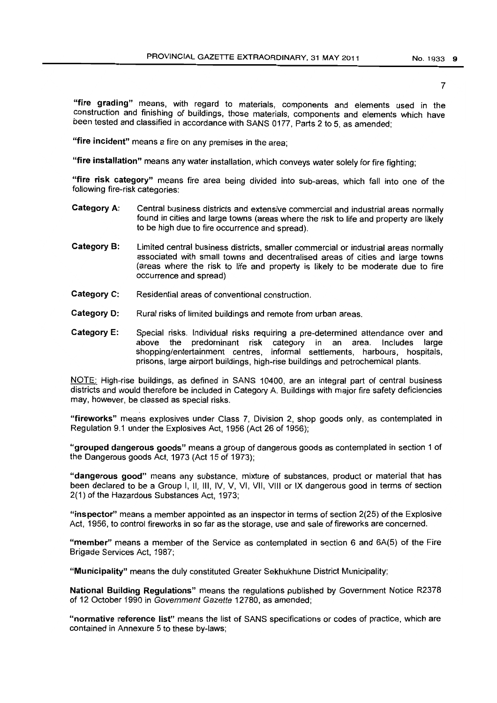"fire grading" means, with regard to materials, components and elements used in the construction and finishing of buildings, those materials, components and elements which have been tested and classified in accordance with SANS 0177, Parts 2 to 5, as amended;

"fire incident" means a fire on any premises in the area;

"fire installation" means any water installation, which conveys water solely for fire fighting;

"fire risk category" means fire area being divided into sub-areas, which fall into one of the following fire-risk categories:

- Category A: Central business districts and extensive commercial and industrial areas normally found in cities and large towns (areas where the risk to life and property are likely to be high due to fire occurrence and spread).
- Category B: Limited central business districts, smaller commercial or industrial areas normally associated with small towns and decentralised areas of cities and large towns (areas where the risk to life and property is likely to be moderate due to fire occurrence and spread)
- Category C: Residential areas of conventional construction.
- Category D: Rural risks of limited buildings and remote from urban areas.
- Category E: Special risks. Individual risks requiring a pre-determined attendance over and above the predominant risk category in an area. Includes large shopping/entertainment centres, informal settlements, harbours, hospitals, prisons, large airport buildings, high-rise buildings and petrochemical plants.

NOTE: High··rise buildings, as defined in SANS 10400, are an integral part of central business districts and would therefore be included in Category A. Buildings with major fire safety deficiencies may, however, be classed as special risks.

"fireworks" means explosives under Class 7, Division 2, shop goods only, as contemplated in Regulation 9.1 under the Explosives Act, 1956 (Act 26 of 1956);

"grouped dangerous goods" means a group of dangerous goods as contemplated in section 1 of the Dangerous goods Act, 1973 (Act 15 of 1973);

"dangerous good" means any substance, mixture of substances, product or material that has been declared to be a Group I, II, III, IV, V, VI, VII, VIII or IX dangerous good in terms of section 2(1) of the Hazardous Substances Act, 1973;

"inspector" means a member appointed as an inspector in terms of section 2(25) of the Explosive Act, 1956, to control fireworks in so far as the storage, use and sale of fireworks are concerned.

"member" means a member of the Service as contemplated in section 6 and 6A(5) of the Fire Brigade Services Act, 1987;

"Municipality" means the duly constituted Greater Sekhukhune District Municipality;

National Building Regulations" means the regulations published by Government Notice R2378 of 12 October 1990 in Government Gazette 12780, as amended;

"normative reference list" means the list of SANS specifications or codes of practice, which are contained in Annexure 5 to these by-laws;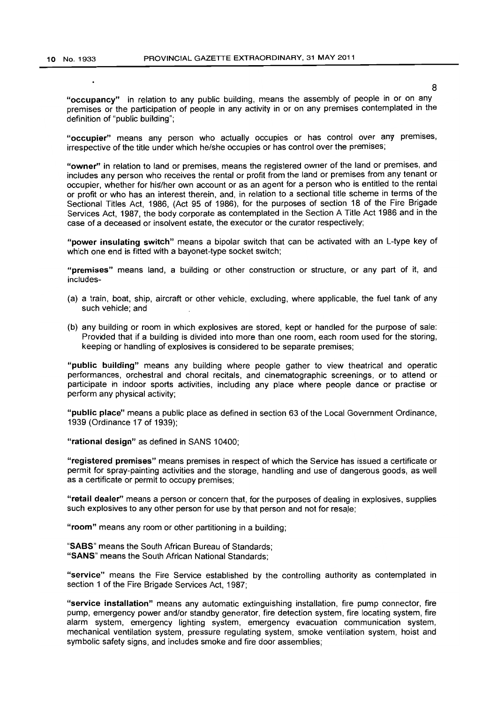"occupancy" in relation to any public building, means the assembly of people in or on any premises or the participation of people in any activity in or on any premises contemplated in the definition of "public building";

"occupier" means any person who actually occupies or has control over any premises, irrespective of the title under which he/she occupies or has control over the premises;

"owner" in relation to land or premises, means the registered owner of the land or premises, and includes any person who receives the rental or profit from the land or premises from any tenant or occupier, whether for his/her own account or as an agent for a person who is entitled to the rental or profit or who has an interest therein, and, in relation to a sectional title scheme in terms of the Sectional Titles Act, 1986, (Act 95 of 1986), for the purposes of section 18 of the Fire Brigade Services Act, 1987, the body corporate as contemplated in the Section A Title Act 1986 and in the case of a deceased or insolvent estate, the executor or the curator respectively;

"power insulating switch" means a bipolar switch that can be activated with an L-type key of which one end is fitted with a bayonet-type socket switch;

"premises" means land, a building or other construction or structure, or any part of it, and includes-

- (a) a train, boat, ship, aircraft or other vehicle, excluding, where applicable, the fuel tank of any such vehicle; and
- (b) any building or room in which explosives are stored, kept or handled for the purpose of sale: Provided that if a building is divided into more than one room, each room used for the storing, keeping or handling of explosives is considered to be separate premises;

"public building" means any building where people gather to view theatrical and operatic performances, orchestral and choral recitals, and cinematographic screenings, or to attend or participate in indoor sports activities, including any place where people dance or practise or perform any physical activity;

"public place" means a public place as defined in section 63 of the Local Government Ordinance, 1939 (Ordinance 17 of 1939);

"rational design" as defined in SANS 10400;

"registered premises" means premises in respect of which the Service has issued a certificate or permit for spray-painting activities and the storage, handling and use of dangerous goods, as well as a certificate or permit to occupy premises;

"retail dealer" means a person or concern that, for the purposes of dealing in explosives, supplies such explosives to any other person for use by that person and not for resale;

"room" means any room or other partitioning in a building;

"SABS" means the South African Bureau of Standards; "SANS" means the South African National Standards;

"service" means the Fire Service established by the controlling authority as contemplated in section 1 of the Fire Brigade Services Act, 1987;

"service installation" means any automatic extinguishing installation, fire pump connector, fire pump, emergency power and/or standby generator, fire detection system, fire locating system, fire alarm system, emergency lighting system, emergency evacuation communication system, mechanical ventilation system, pressure regulating system, smoke ventilation system, hoist and symbolic safety signs, and includes smoke and fire door assemblies;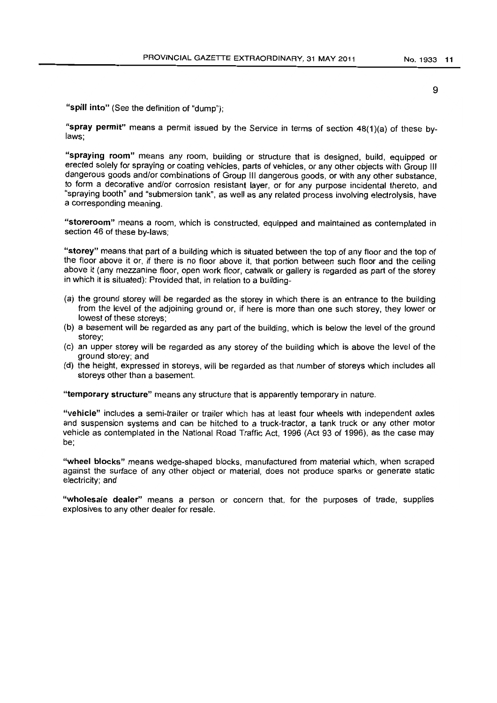"spill into" (See the definition of "dump");

"spray permit" means a permit issued by the Service in terms of section  $48(1)(a)$  of these bylaws;

"spraying room" means any room, building or structure that is designed, build, equipped or erected solely for spraying or coating vehicles, parts of vehicles, or any other objects with Group III dangerous goods and/or combinations of Group III dangerous goods, or with any other substance, to form a decorative and/or corrosion resistant layer, or for any purpose incidental thereto, and "spraying booth" and "submersion tank", as well as any related process involving electrolysis, have a corresponding meaning.

"storeroom" means a room, which is constructed, equipped and maintained as contemplated in section 46 of these by-laws;

"storey" means.that part of a building which is situated between the top of any floor and the top of the floor above it or, if there is no floor above it, that portion between such floor and the ceiling above it (any mezzanine floor, open work floor, catwalk or gallery is regarded as part of the storey in which it is situated): Provided that, in relation to a building-

- (a) the ground storey will be regarded as the storey in which there is an entrance to the building from the level of the adjoining ground or, if here is more than one such storey, they lower or lowest of these storeys;
- (b) a basement will be regarded as any part of the building, which is below the level of the ground storey;
- (c) an upper storey will be regarded as any storey of the building which is above the level of the ground storey; and
- (d) the height, expressed in storeys, will be regarded as that number of storeys which includes all storeys other than a basement.

"temporary structure" means any structure that is apparently temporary in nature.

"vehicle" includes a semi-trailer or trailer which has at least four wheels with independent axles and suspension systems and can be hitched to a truck-tractor, a tank truck or any other motor vehicle as contemplated in the National Road Traffic Act, 1996 (Act 93 of 1996), as the case may be;

"wheel blocks" means wedge-shaped blocks, manufactured from material which, when scraped against the surface of any other object or material, does not produce sparks or generate static electricity; and

"wholesale dealer" means a person or concern that, for the purposes of trade, supplies explosives to any other dealer for resale.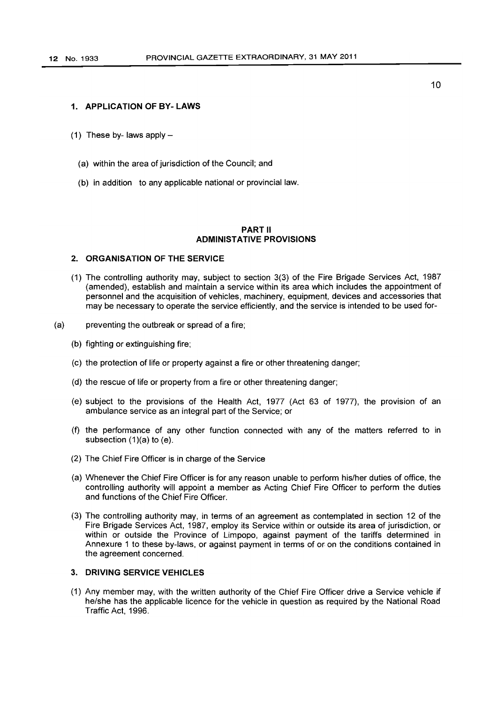- (1) These by- laws apply  $-$ 
	- (a) within the area of jurisdiction of the Council; and
	- (b) in addition to any applicable national or provincial law.

#### PART II **ADMINISTATIVE PROVISIONS**

#### 2. ORGANISATION OF THE SERVICE

- (1) The controlling authority may, subject to section 3(3) of the Fire Brigade Services Act, 1987 (amended), establish and maintain a service within its area which includes the appointment of personnel and the acquisition of vehicles, machinery, equipment, devices and accessories that may be necessary to operate the service efficiently, and the service is intended to be used for-
- (a) preventing the outbreak or spread of a fire;
	- (b) fighting or extinguishing fire;
	- (c) the protection of life or property against a fire or other threatening danger;
	- (d) the rescue of life or property from a fire or other threatening danger;
	- (e) subject to the provisions of the Health Act, 1977 (Act 63 of 1977), the provision of an ambulance service as an integral part of the Service; or
	- (f) the performance of any other function connected with any of the matters referred to in subsection  $(1)(a)$  to  $(e)$ .
	- (2) The Chief Fire Officer is in charge of the Service
	- (a) Whenever the Chief Fire Officer is for any reason unable to perform his/her duties of office, the controlling authority will appoint a member as Acting Chief Fire Officer to perform the duties and functions of the Chief Fire Officer.
	- (3) The controlling authority may, in terms of an agreement as contemplated in section 12 of the Fire Brigade Services Act, 1987, employ its Service within or outside its area of jurisdiction, or within or outside the Province of Limpopo, against payment of the tariffs determined in Annexure 1 to these by-laws, or against payment in terms of or on the conditions contained in the agreement concerned.

#### 3. DRIVING SERVICE VEHICLES

(1) Any member may, with the written authority of the Chief Fire Officer drive a Service vehicle if he/she has the applicable licence for the vehicle in question as required by the National Road Traffic Act, 1996.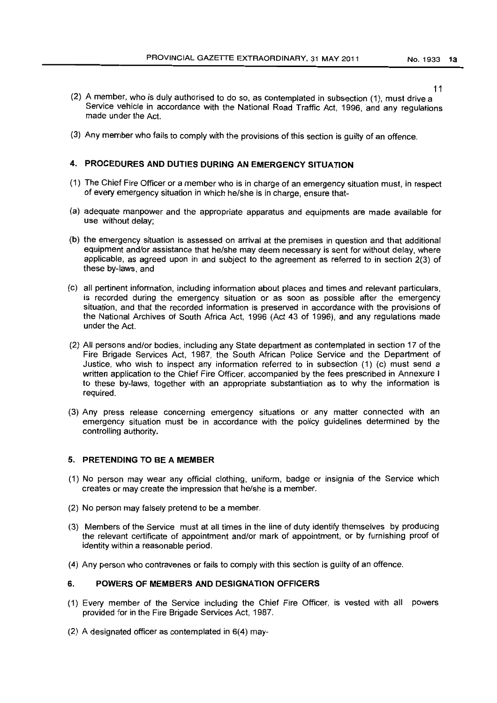- (2) A member, who is duly authorised to do so, as contemplated in subsection (1), must drive a Service vehicle in accordance with the National Road Traffic Act, 1996, and any regulations made under the Act.
- (3) Any member who fails to comply with the provisions of this section is guilty of an offence.

#### **4. PROCEDURES AND DUTIES DURING AN EMERGENCY SITUATION**

- (1) The Chief Fire Officer or a member who is in charge of an emergency situation must, in respect of every emergency situation in which he/she is in charge, ensure that-
- (a) adequate manpower and the appropriate apparatus and equipments are made available for use without delay;
- (b) the emergency situation is assessed on arrival at the premises in question and that additional equipment and/or assistance that he/she may deem necessary is sent for without delay, where applicable, as agreed upon in and subject to the agreement as referred to in section 2(3) of these by-laws, and
- (c) all pertinent information, including information about places and times and relevant particulars, is recorded during the emergency situation or as soon as possible after the emergency situation, and that the recorded information is preserved in accordance with the provisions of the National Archives of South Africa Act, 1996 (Act 43 of 1996), and any regulations made under the Act.
- (2) All persons and/or bodies, including any State department as contemplated in section 17 of the Fire Brigade Services Act, 1987, the South African Police Service and the Department of Justice, who wish to inspect any information referred to in subsection (1) (c) must send a written application to the Chief Fire Officer, accompanied by the fees prescribed in Annexure I to these by-laws, together with an appropriate substantiation as to why the information is required.
- (3) Any press release concerning emergency situations or any matter connected with an emergency situation must be in accordance with the policy guidelines determined by the controlling authority.

#### 5. **PRETENDING TO BE A MEMBER**

- (1) No person may wear any official clothing, uniform, badge or insignia of the Service which creates or may create the impression that he/she is a member.
- (2) No person may falsely pretend to be a member.
- (3) Members of the Service must at all times in the line of duty identify themselves by producing the relevant certificate of appointment and/or mark of appointment, or by furnishing proof of identity within a reasonable period.
- (4) Any person who contravenes or fails to comply with this section is guilty of an offence.

#### **6. POWERS OF MEMBERS AND DESIGNATION OFFICERS**

- (1) Every member of the Service including the Chief Fire Officer, is vested with all powers provided for in the Fire Brigade Services Act, 1987.
- (2) A designated officer as contemplated in 6(4} may-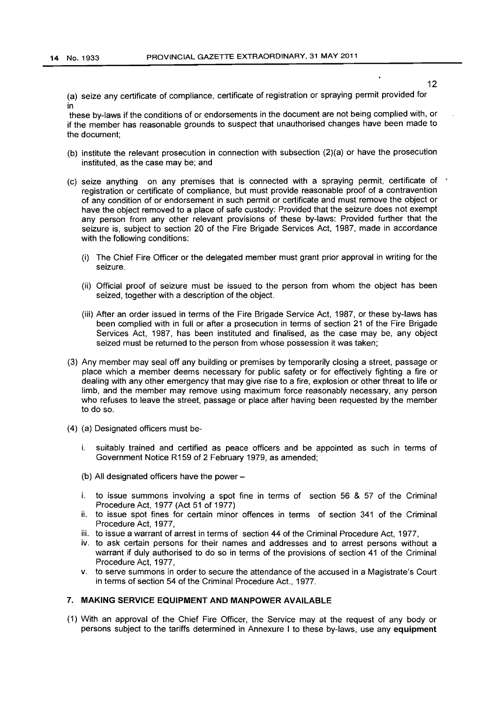in

(a) seize any certificate of compliance, certificate of registration or spraying permit provided for

these by-laws if the conditions of or endorsements in the document are not being complied with, or if the member has reasonable grounds to suspect that unauthorised changes have been made to the document;

- (b) institute the relevant prosecution in connection with subsection (2)(a) or have the prosecution instituted, as the case may be; and
- (c) seize anything on any premises that is connected with a spraying permit, certificate of registration or certificate of compliance, but must provide reasonable proof of a contravention of any condition of or endorsement in such permit or certificate and must remove the object or have the object removed to a place of safe custody: Provided that the seizure does not exempt any person from any other relevant provisions of these by-laws: Provided further that the seizure is, subject to section 20 of the Fire Brigade Services Act, 1987, made in accordance with the following conditions:
	- (i) The Chief Fire Officer or the delegated member must grant prior approval in writing for the seizure.
	- (ii) Official proof of seizure must be issued to the person from whom the object has been seized, together with a description of the object.
	- (iii) After an order issued in terms of the Fire Brigade Service Act, 1987, or these by-laws has been complied with in full or after a prosecution in terms of section 21 of the Fire Brigade Services Act, 1987, has been instituted and finalised, as the case may be, any object seized must be returned to the person from whose possession it was taken;
- (3) Any member may seal off any building or premises by temporarily closing a street, passage or place which a member deems necessary for public safety or for effectively fighting a fire or dealing with any other emergency that may give rise to a fire, explosion or other threat to life or limb, and the member may remove using maximum force reasonably necessary, any person who refuses to leave the street, passage or place after having been requested by the member to do so.
- (4) (a) Designated officers must be
	- i. suitably trained and certified as peace officers and be appointed as such in terms of Government Notice R 159 of 2 February 1979, as amended;
	- (b) All designated officers have the power-
	- i. to issue summons involving a spot fine in terms of section 56 & 57 of the Criminal Procedure Act, 1977 (Act 51 of 1977)
	- ii. to issue spot fines for certain minor offences in terms of section 341 of the Criminal Procedure Act, 1977,
	- iii. to issue a warrant of arrest in terms of section 44 of the Criminal Procedure Act, 1977,
	- iv. to ask certain persons for their names and addresses and to arrest persons without a warrant if duly authorised to do so in terms of the provisions of section 41 of the Criminal Procedure Act, 1977,
	- v. to serve summons in order to secure the attendance of the accused in a Magistrate's Court in terms of section 54 of the Criminal Procedure Act., 1977.

#### 7. **MAKING SERVICE EQUIPMENT AND MANPOWER AVAILABLE**

(1) With an approval of the Chief Fire Officer, the Service may at the request of any body or persons subject to the tariffs determined in Annexure I to these by-laws, use any **equipment**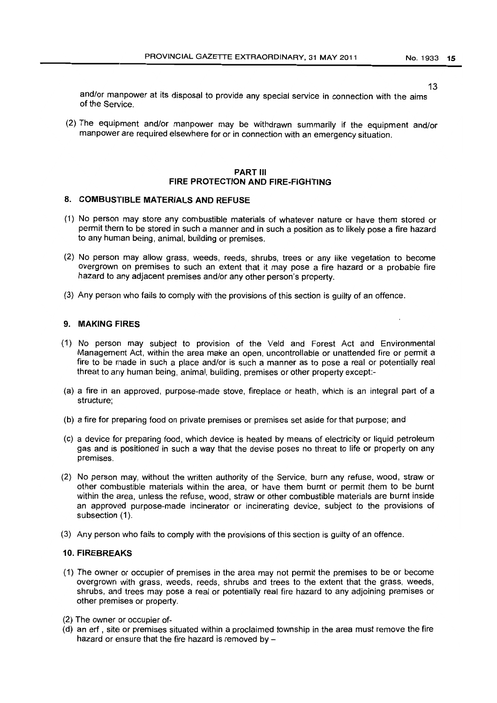and/or manpower at its disposal to provide any special service in connection with the aims of the Service.

(2) The equipment and/or manpower may be withdrawn summarily if the equipment and/or manpower are required elsewhere for or in connection with an emergency situation.

#### **PART III FIRE PROTECTION AND FIRE-FIGHTING**

#### **8. COMBUSTIBLE MATERIALS AND REFUSE**

- (1) No person may store any combustible materials of whatever nature or have them stored or permit them to be stored in such a manner and in such a position as to likely pose a fire hazard to any human being, animal, building or premises.
- (2) No person may allow grass, weeds, reeds, shrubs, trees or any like vegetation to become overgrown on premises to such an extent that it may pose a fire hazard or a probable fire hazard to any adjacent premises and/or any other person's property.
- (3) Any person who fails to comply with the provisions of this section is guilty of an offence.

#### 9. **MAKING FIRES**

- (1) No person may subject to provision of the Veld and Forest Act and Environmental Management Act, within the area make an open, uncontrollable or unattended fire or permit a fire to be made in such a place and/or is such a manner as to pose a real or potentially real threat to any human being, animal, building, premises or other property except:-
- (a) a fire in an approved, purpose-made stove, fireplace or heath, which is an integral part of a structure;
- (b) a fire for preparing food on private premises or premises set aside for that purpose; and
- (c) a device for preparing food, which device is heated by means of electricity or liquid petroleum gas and is positioned in such a way that the devise poses no threat to life or property on any premises.
- (2) No person may, without the written authority of the Service, burn any refuse, wood, straw or other combustible materials within the area, or have them burnt or permit them to be burnt within the area, unless the refuse, wood, straw or other combustible materials are burnt inside an approved purpose-made incinerator or incinerating device, subject to the provisions of subsection (1).
- (3) Any person who fails to comply with the provisions of this section is guilty of an offence.

#### 10. **FIREBREAKS**

- (1) The owner or occupier of premises in the area may not permit the premises to be or become overgrown with grass, weeds, reeds, shrubs and trees to the extent that the grass, weeds, shrubs, and trees may pose a real or potentially real fire hazard to any adjoining premises or other premises or property.
- (2) The owner or occupier of-
- (d) an erf, site or premises situated within a proclaimed township in the area must remove the fire hazard or ensure that the fire hazard is removed by  $-$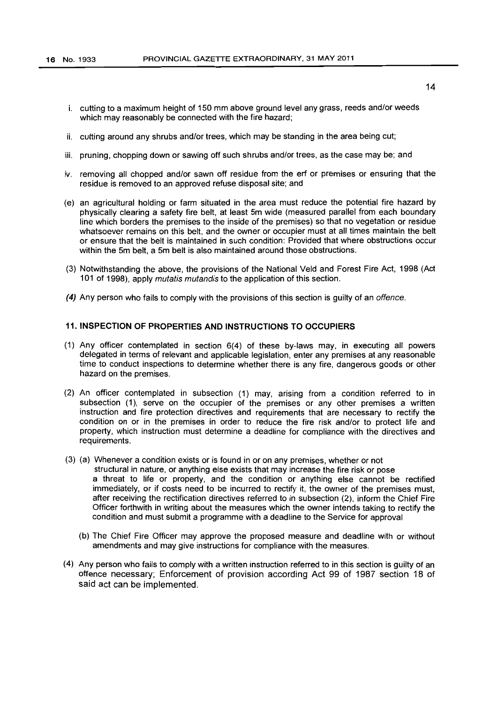- i. cutting to a maximum height of 150 mm above ground level any grass, reeds and/or weeds which may reasonably be connected with the fire hazard;
- $ii.$  cutting around any shrubs and/or trees, which may be standing in the area being cut;
- iii. pruning, chopping down or sawing off such shrubs and/or trees, as the case may be; and
- iv. removing all chopped and/or sawn off residue from the erf or premises or ensuring that the residue is removed to an approved refuse disposal site; and
- (e) an agricultural holding or farm situated in the area must reduce the potential fire hazard by physically clearing a safety fire belt, at least 5m wide (measured parallel from each boundary line which borders the premises to the inside of the premises) so that no vegetation or residue whatsoever remains on this belt, and the owner or occupier must at all times maintain the belt or ensure that the belt is maintained in such condition: Provided that where obstructions occur within the 5m belt, a 5m belt is also maintained around those obstructions.
- (3) Notwithstanding the above, the provisions of the National Veld and Forest Fire Act, 1998 (Act 101 of 1998), apply mutatis mutandis to the application of this section.
- **(4)** Any person who fails to comply with the provisions of this section is guilty of an offence.

#### 11. INSPECTION **OF PROPERTIES AND INSTRUCTIONS TO OCCUPIERS**

- $(1)$  Any officer contemplated in section  $6(4)$  of these by-laws may, in executing all powers delegated in terms of relevant and applicable legislation, enter any premises at any reasonable time to conduct inspections to determine whether there is any fire, dangerous goods or other hazard on the premises.
- (2) An officer contemplated in subsection (1) may, arising from a condition referred to in subsection (1), serve on the occupier of the premises or any other premises a written instruction and fire protection directives and requirements that are necessary to rectify the condition on or in the premises in order to reduce the fire risk and/or to protect life and property, which instruction must determine a deadline for compliance with the directives and requirements.
- (3) (a) Whenever a condition exists or is found in or on any premises, whether or not structural in nature, or anything else exists that may increase the fire risk or pose a threat to life or property, and the condition or anything else cannot be rectified immediately, or if costs need to be incurred to rectify it, the owner of the premises must, after receiving the rectification directives referred to in subsection (2), inform the Chief Fire Officer forthwith in writing about the measures which the owner intends taking to rectify the condition and must submit a programme with a deadline to the Service for approval
	- (b) The Chief Fire Officer may approve the proposed measure and deadline with or without amendments and may give instructions for compliance with the measures.
- (4) Any person who fails to comply with a written instruction referred to in this section is guilty of an offence necessary; Enforcement of provision according Act 99 of 1987 section 18 of said act can be implemented.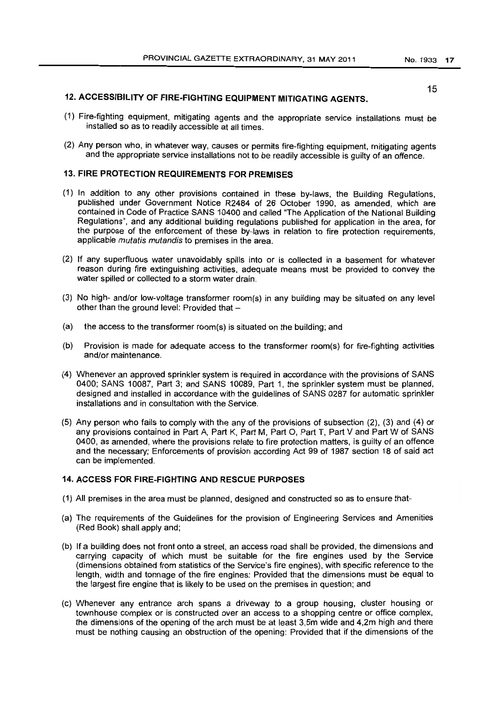#### 12. ACCESSIBILITY OF FIRE-FIGHTING EQUIPMENT MITIGATING AGENTS.

- (1) Fire-fighting equipment, mitigating agents and the appropriate service installations must be installed so as to readily accessible at all times.
- (2) Any person who, in whatever way, causes or permits fire-fighting equipment, mitigating agents and the appropriate service installations not to be readily accessible is guilty of an offence.

#### 13. FIRE PROTECTION REQUIREMENTS FOR PREMISES

- (1) In addition to any other provisions contained in these by-laws, the Building Regulations, published under Government Notice R2484 of 26 October 1990, as amended, which are contained in Code of Practice SANS 10400 and called "The Application of the National Building Regulations", and any additional building regulations published for application in the area, for the purpose of the enforcement of these by-laws in relation to fire protection requirements, applicable mutatis mutandis to premises in the area.
- $(2)$  If any superfluous water unavoidably spills into or is collected in a basement for whatever reason during fire extinguishing activities, adequate means must be provided to convey the water spilled or collected to a storm water drain.
- (3) No high- and/or low-voltage transformer room(s) in any building may be situated on any level other than the ground level: Provided that -
- (a) the access to the transformer room(s) is situated on the building; and
- (b) Provision is made for adequate access to the transformer room(s) for fire-fighting activities and/or maintenance.
- (4) Whenever an approved sprinkler system is required in accordance with the provisions of SANS 0400; SANS 10087, Part 3; and SANS 10089, Part 1, the sprinkler system must be planned, designed and installed in accordance with the guidelines of SANS 0287 for automatic sprinkler installations and in consultation with the Service.
- (5) Any person who fails to comply with the any of the provisions of subsection (2), (3) and (4) or any provisions contained in Part A, Part K, Part M, Part 0, Part T, Part V and Part W of SANS 0400, as amended, where the provisions relate to fire protection matters, is guilty of an offence and the necessary; Enforcements of provision according Act 99 of 1987 section 18 of said act can be implemented.

#### 14. ACCESS FOR FIRE-FIGHTING AND RESCUE PURPOSES

- (1) All premises in the area must be planned, designed and constructed so as to ensure that-
- (a) The requirements of the Guidelines for the provision of Engineering Services and Amenities (Red Book) shall apply and;
- (b) If a building does not front onto a street, an access road shall be provided, the dimensions and carrying capacity of which must be suitable for the fire engines used by the Service (dimensions obtained from statistics of the Service's fire engines), with specific reference to the length, width and tonnage of the fire engines: Provided that the dimensions must be equal to the largest fire engine that is likely to be used on the premises in question; and
- (c) Whenever any entrance arch spans a driveway to a group housing, cluster housing or townhouse complex or is constructed over an access to a shopping centre or office complex, the dimensions of the opening of the arch must be at least 3,5m wide and 4,2m high and there must be nothing causing an obstruction of the opening: Provided that if the dimensions of the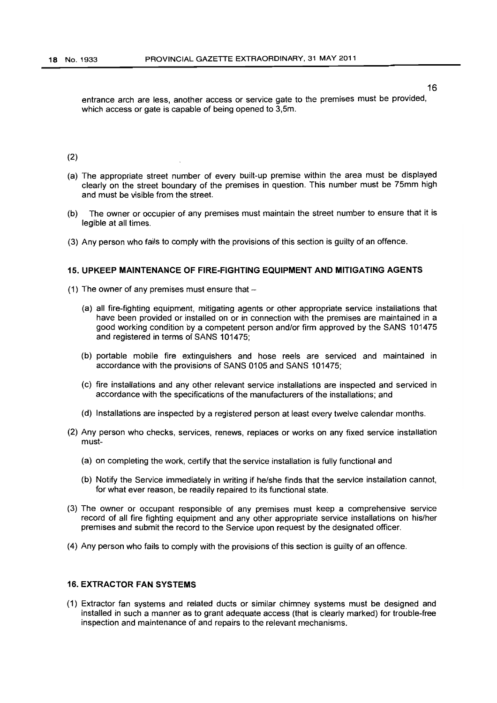entrance arch are less, another access or service gate to the premises must be provided, which access or gate is capable of being opened to 3,5m.

(2)

- (a) The appropriate street number of every built-up premise within the area must be displayed clearly on the street boundary of the premises in question. This number must be 75mm high and must be visible from the street.
- (b) The owner or occupier of any premises must maintain the street number to ensure that it is legible at all times.
- (3) Any person who fails to comply with the provisions of this section is guilty of an offence.

#### 15. UPKEEP MAINTENANCE OF FIRE-FIGHTING EQUIPMENT AND MITIGATING AGENTS

- (1) The owner of any premises must ensure that  $-$ 
	- (a) all fire-fighting equipment, mitigating agents or other appropriate service installations that have been provided or installed on or in connection with the premises are maintained in a good working condition by a competent person and/or firm approved by the SANS 101475 and registered in terms of SANS 101475;
	- (b) portable mobile fire extinguishers and hose reels are serviced and maintained in accordance with the provisions of SANS 0105 and SANS 101475;
	- (c) fire installations and any other relevant service installations are inspected and serviced in accordance with the specifications of the manufacturers of the installations; and
	- (d) Installations are inspected by a registered person at least every twelve calendar months.
- (2) Any person who checks, services, renews, replaces or works on any fixed service installation must-
	- (a) on completing the work, certify that the service installation is fully functional and
	- (b) Notify the Service immediately in writing if he/she finds that the service installation cannot, for what ever reason, be readily repaired to its functional state.
- (3) The owner or occupant responsible of any premises must keep a comprehensive service record of all fire fighting equipment and any other appropriate service installations on his/her premises and submit the record to the Service upon request by the designated officer.
- (4) Any person who fails to comply with the provisions of this section is guilty of an offence.

#### 16. EXTRACTOR FAN SYSTEMS

(1) Extractor fan systems and related ducts or similar chimney systems must be designed and installed in such a manner as to grant adequate access (that is clearly marked) for trouble-free inspection and maintenance of and repairs to the relevant mechanisms.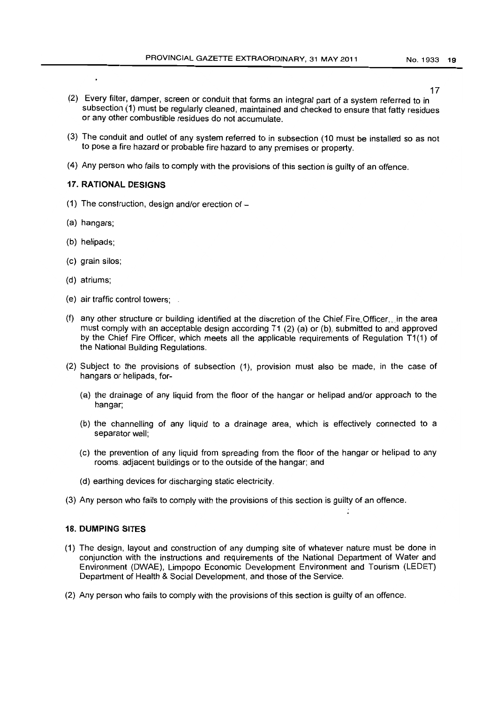- 17 (2) Every filter, damper, screen or conduit that forms an integral part of a system referred to in subsection (1) must be regularly cleaned, maintained and checked to ensure that fatty residues or any other combustible residues do not accumulate.
- (3) The conduit and outlet of any system referred to in subsection (10 must be installed so as not to pose a fire hazard or probable fire hazard to any premises or property.
- (4) Any person who fails to comply with the provisions of this section is guilty of an offence.

#### 17. **RATIONAL DESIGNS**

- (1) The construction, design and/or erection of  $-$
- (a) hangars;
- (b) helipads;
- (c) grain silos;
- (d) atriums;
- (e) air traffic control towers;
- (f) any other structure or building identified at the discretion of the Chief. Fire.Officer, .. in the area must comply with an acceptable design according T1 (2) (a) or (b), submitted to and approved by the Chief Fire Officer, which meets all the applicable requirements of Regulation T1(1) of the National Building Regulations.
- (2) Subject to the provisions of subsection (1), provision must also be made, in the case of hangars or helipads, for-
	- (a) the drainage of any liquid from the floor of the hangar or helipad and/or approach to the hangar;
	- (b) the channelling of any liquid to a drainage area, which is effectively connected to a separator well;
	- (c) the prevention of any liquid from spreading from the floor of the hangar or helipad to any rooms, adiacent buildings or to the outside of the hangar; and
	- (d) earthing devices for discharging static electricity.
- (3) Any person who fails to comply with the provisions of this section is guilty of an offence.

#### 18. **DUMPING** SITES

- (1) The design, layout and construction of any dumping site of whatever nature must be done in conjunction with the instructions and requirements of the National Department of Water and Environment (DWAE), Limpopo Economic Development Environment and Tourism (LEDET) Department of Health & Social Development, and those of the Service.
- (2) Any person who fails to comply with the provisions of this section is guilty of an offence.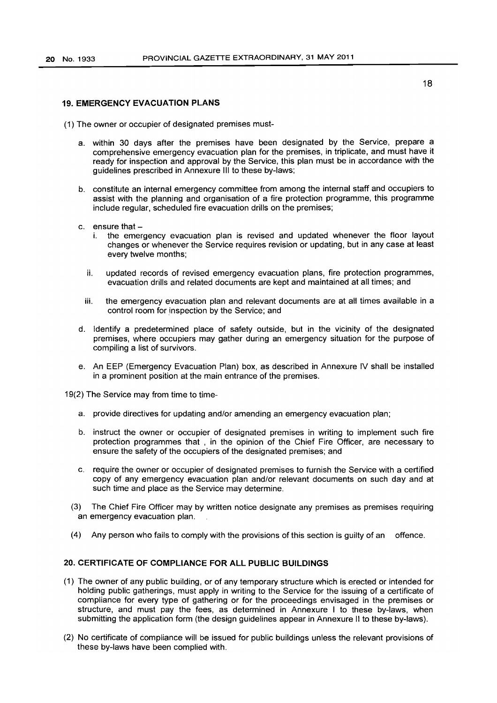#### 19. EMERGENCY EVACUATION PLANS

- (1) The owner or occupier of designated premises must
	- a. within 30 days after the premises have been designated by the Service, prepare a comprehensive emergency evacuation plan for the premises, in triplicate, and must have it ready for inspection and approval by the Service, this plan must be in accordance with the guidelines prescribed in Annexure III to these by-laws;
	- b. constitute an internal emergency committee from among the internal staff and occupiers to assist with the planning and organisation of a fire protection programme, this programme include regular, scheduled fire evacuation drills on the premises;
	- c. ensure that  $$ 
		- i. the emergency evacuation plan is revised and updated whenever the floor layout changes or whenever the Service requires revision or updating, but in any case at least every twelve months;
		- ii. updated records of revised emergency evacuation plans, fire protection programmes, evacuation drills and related documents are kept and maintained at all times; and
		- iii. the emergency evacuation plan and relevant documents are at all times available in a control room for inspection by the Service; and
	- d. Identify a predetermined place of safety outside, but in the vicinity of the designated premises, where occupiers may gather during an emergency situation for the purpose of compiling a list of survivors.
	- e. An EEP (Emergency Evacuation Plan) box, as described in Annexure IV shall be installed in a prominent position at the main entrance of the premises.

19(2) The Service may from time to time-

- a. provide directives for updating and/or amending an emergency evacuation plan;
- b. instruct the owner or occupier of designated premises in writing to implement such fire protection programmes that , in the opinion of the Chief Fire Officer, are necessary to ensure the safety of the occupiers of the designated premises; and
- c. require the owner or occupier of designated premises to furnish the Service with a certified copy of any emergency evacuation plan and/or relevant documents on such day and at such time and place as the Service may determine.
- (3) The Chief Fire Officer may by written notice designate any premises as premises requiring an emergency evacuation plan.
- (4) Any person who fails to comply with the provisions of this section is guilty of an offence.

#### 20. CERTIFICATE OF COMPLIANCE FOR ALL PUBLIC BUILDINGS

- (1) The owner of any public building, or of any temporary structure which is erected or intended for holding public gatherings, must apply in writing to the Service for the issuing of a certificate of compliance for every type of gathering or for the proceedings envisaged in the premises or structure, and must pay the fees, as determined in Annexure I to these by-laws, when submitting the application form (the design guidelines appear in Annexure II to these by-laws).
- (2) No certificate of compliance will be issued for public buildings unless the relevant provisions of these by-laws have been complied with.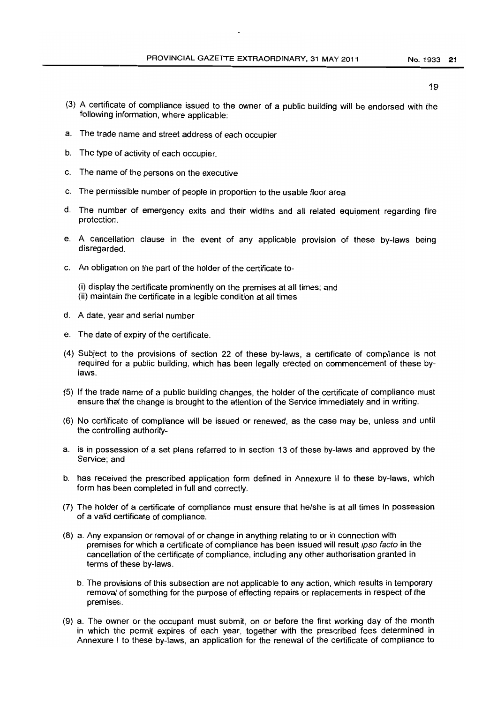- (3) A certificate of compliance issued to the owner of a public building will be endorsed with the following information, where applicable:
- a. The trade name and street address of each occupier
- b. The type of activity of each occupier.
- c. The name of the persons on the executive
- c. The permissible number of people in proportion to the usable floor area
- d. The number of emergency exits and their widths and all related equipment regarding fire protection.
- e. A cancellation clause in the event of any applicable provision of these by-laws being disregarded.
- c. An obligation on the part of the holder of the certificate to-

(i) display the certificate prominently on the premises at all times; and (ii) maintain the certificate in a legible condition at all times

- d. A date, year and serial number
- e. The date of expiry of the certificate.
- (4) Subject to the provisions of section 22 of these by-laws, a certificate of compliance is not required for a public building, which has been legally erected on commencement of these bylaws.
- {5) If the trade name of a public building changes, the holder of the certificate of compliance must ensure that the change is brought to the attention of the Service immediately and in writing.
- (6) No certificate of compliance will be issued or renewed, as the case may be, unless and until the controlling authority-
- a. is in possession of a set plans referred to in section 13 of these by-laws and approved by the Service; and
- b. has received the prescribed application form defined in Annexure II to these by-laws, which form has been completed in full and correctly.
- (7) The holder of a certificate of compliance must ensure that he/she is at all times in possession of a valid certificate of compliance.
- (8) a. Any expansion or removal of or change in anything relating to or in connection with premises for which a certificate of compliance has been issued will result ipso facto in the cancellation of the certificate of compliance, including any other authorisation granted in terms of these by-laws.
	- b. The provisions of this subsection are not applicable to any action, which results in temporary removal of something for the purpose of effecting repairs or replacements in respect of the premises.
- (9) a. The owner or the occupant must submit, on or before the first working day of the month in which the permit expires of each year, together with the prescribed fees determined in Annexure I to these by-laws, an application for the renewal of the certificate of compliance to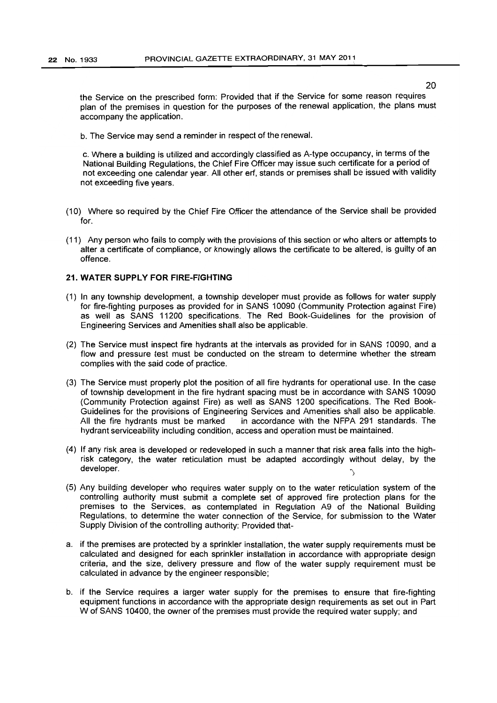the Service on the prescribed form: Provided that if the Service for some reason requires plan of the premises in question for the purposes of the renewal application, the plans must accompany the application.

b. The Service may send a reminder in respect of the renewal.

c. Where a building is utilized and accordingly classified as A-type occupancy, in terms of the National Building Regulations, the Chief Fire Officer may issue such certificate for a period of not exceeding one calendar year. All other erf, stands or premises shall be issued with validity not exceeding five years.

- (10) Where so required by the Chief Fire Officer the attendance of the Service shall be provided for.
- (11) Any person who fails to comply with the provisions of this section or who alters or attempts to alter a certificate of compliance, or knowingly allows the certificate to be altered, is guilty of an offence.

#### 21. **WATER SUPPLY** FOR FIRE-FIGHTING

- (1) In any township development, a township developer must provide as follows for water supply for fire-fighting purposes as provided for in SANS 10090 (Community Protection against Fire) as well as SANS 11200 specifications. The Red Book-Guidelines for the provision of Engineering Services and Amenities shall also be applicable.
- (2) The Service must inspect fire hydrants at the intervals as provided for in SANS 10090, and a flow and pressure test must be conducted on the stream to determine whether the stream complies with the said code of practice.
- (3) The Service must properly plot the position of all fire hydrants for operational use. In the case of township development in the fire hydrant spacing must be in accordance with SANS 10090 (Community Protection against Fire) as well as SANS 1200 specifications. The Red Book-Guidelines for the provisions of Engineering Services and Amenities shall also be applicable. All the fire hydrants must be marked in accordance with the NFPA 291 standards. The hydrant serviceability including condition, access and operation must be maintained.
- (4) If any risk area is developed or redeveloped in such a manner that risk area falls into the highrisk category, the water reticulation must be adapted accordingly without delay, by the developer. The contract of the contract of the contract of the contract of the contract of the contract of the contract of the contract of the contract of the contract of the contract of the contract of the contract of the
- (5) Any building developer who requires water supply on to the water reticulation system of the controlling authority must submit a complete set of approved fire protection plans for the premises to the Services, as contemplated in Regulation A9 of the National Building Regulations, to determine the water connection of the Service, for submission to the Water Supply Division of the controlling authority: Provided that-
- a. if the premises are protected by a sprinkler installation, the water supply requirements must be calculated and designed for each sprinkler installation in accordance with appropriate design criteria, and the size, delivery pressure and flow of the water supply requirement must be calculated in advance by the engineer responsible;
- b. if the Service requires a larger water supply for the premises to ensure that fire-fighting equipment functions in accordance with the appropriate design requirements as set out in Part W of SANS 10400, the owner of the premises must provide the required water supply; and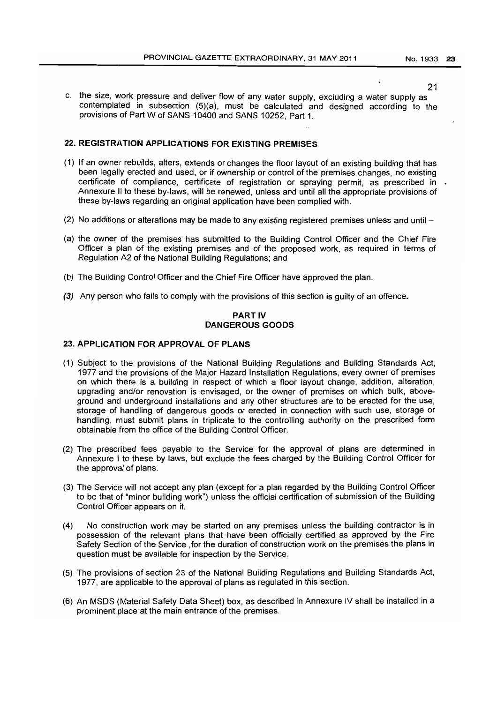- 21
- c. the size, work pressure and deliver flow of any water supply, excluding a water supply as contemplated in subsection (5)(a), must be calculated and designed according to the provisions of Part W of SANS 10400 and SANS 10252, Part 1.

#### 22. **REGISTRATION APPLICATIONS FOR EXISTING PREMISES**

- (1) If an owner rebuilds, alters, extends or changes the floor layout of an existing building that has been legally erected and used, or if ownership or control of the premises changes, no existing certificate of compliance, certificate of registration or spraying permit, as prescribed in Annexure II to these by-laws, will be renewed, unless and until all the appropriate provisions of these by-laws regarding an original application have been complied with.
- (2) No additions or alterations may be made to any existing registered premises unless and until -
- (a) the owner of the premises has submitted to the Building Control Officer and the Chief Fire Officer a plan of the existing premises and of the proposed work, as required in terms of Regulation A2 of the National Building Regulations; and
- (b) The Building Control Officer and the Chief Fire Officer have approved the plan.
- (3) Any person who fails to comply with the provisions of this section is guilty of an offence.

#### PART IV **DANGEROUS GOODS**

#### 23. **APPLICATION FOR APPROVAL OF PLANS**

- (1) Subject to the provisions of the National Building Regulations and Building Standards Act, 1977 and the provisions of the Major Hazard Installation Regulations, every owner of premises on which there is a building in respect of which a floor layout change, addition, alteration, upgrading and/or renovation is envisaged, or the owner of premises on which bulk, aboveground and underground installations and any other structures are to be erected for the use, storage of handling of dangerous goods or erected in connection with such use, storage or handling, must submit plans in triplicate to the controlling authority on the prescribed form obtainable from the office of the Building Control Officer.
- (2) The prescribed fees payable to the Service for the approval of plans are determined in Annexure I to these by-laws, but exclude the fees charged by the Building Control Officer for the approval of plans.
- (3) The Service will not accept any plan (except for a plan regarded by the Building Control Officer to be that of "minor building work") unless the official certification of submission of the Building Control Officer appears on it.
- (4) No construction work may be started on any premises unless the building contractor is in possession of the relevant plans that have been officially certified as approved by the Fire Safety Section of the Service ,for the duration of construction work on the premises the plans in question must be available for inspection by the Service.
- (5) The provisions of section 23 of the National Building Regulations and Building Standards Act, 1977, are applicable to the approval of plans as regulated in this section.
- (6) An MSDS (Material Safety Data Sheet) box, as described in Annexure IV shall be installed in a prominent place at the main entrance of the premises.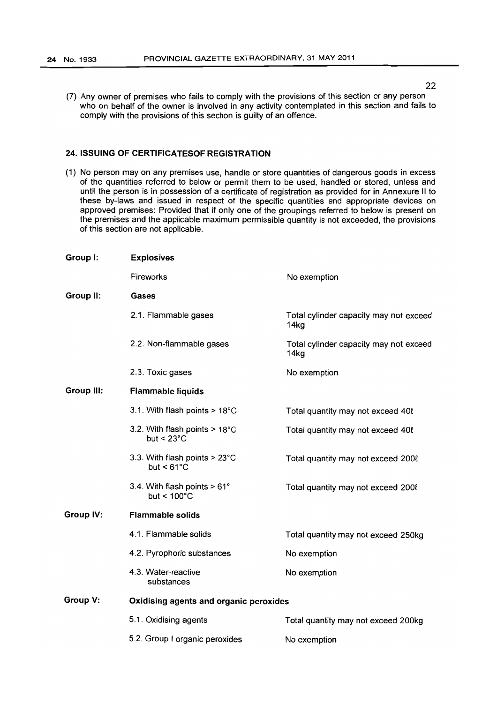(7) Any owner of premises who fails to comply with the provisions of this section or any person who on behalf of the owner is involved in any activity contemplated in this section and fails to comply with the provisions of this section is guilty of an offence.

#### 24. ISSUING OF CERTIFicATESOF REGISTRATION

(1) No person may on any premises use, handle or store quantities of dangerous goods in excess of the quantities referred to below or permit them to be used, handled or stored, unless and until the person is in possession of a certificate of registration as provided for in Annexure II to these by-laws and issued in respect of the specific quantities and appropriate devices on approved premises: Provided that if only one of the groupings referred to below is present on the premises and the applicable maximum permissible quantity is not exceeded, the provisions of this section are not applicable.

| Group I:         | <b>Explosives</b>                                              |                                                |  |
|------------------|----------------------------------------------------------------|------------------------------------------------|--|
|                  | Fireworks                                                      | No exemption                                   |  |
| Group II:        | Gases                                                          |                                                |  |
|                  | 2.1. Flammable gases                                           | Total cylinder capacity may not exceed<br>14kg |  |
|                  | 2.2. Non-flammable gases                                       | Total cylinder capacity may not exceed<br>14kg |  |
|                  | 2.3. Toxic gases                                               | No exemption                                   |  |
| Group III:       | <b>Flammable liquids</b>                                       |                                                |  |
|                  | 3.1. With flash points $> 18^{\circ}$ C                        | Total quantity may not exceed 40 $\ell$        |  |
|                  | 3.2. With flash points > 18°C<br>but $< 23^{\circ}$ C          | Total quantity may not exceed 40 $\ell$        |  |
|                  | 3.3. With flash points > 23°C<br>but < $61^{\circ}$ C          | Total quantity may not exceed 2008             |  |
|                  | 3.4. With flash points $> 61^{\circ}$<br>but < $100^{\circ}$ C | Total quantity may not exceed 2008             |  |
| <b>Group IV:</b> | <b>Flammable solids</b>                                        |                                                |  |
|                  | 4.1. Flammable solids                                          | Total quantity may not exceed 250kg            |  |
|                  | 4.2. Pyrophoric substances                                     | No exemption                                   |  |
|                  | 4.3. Water-reactive<br>substances                              | No exemption                                   |  |
| Group V:         | Oxidising agents and organic peroxides                         |                                                |  |
|                  | 5.1. Oxidising agents                                          | Total quantity may not exceed 200kg            |  |
|                  | 5.2. Group I organic peroxides                                 | No exemption                                   |  |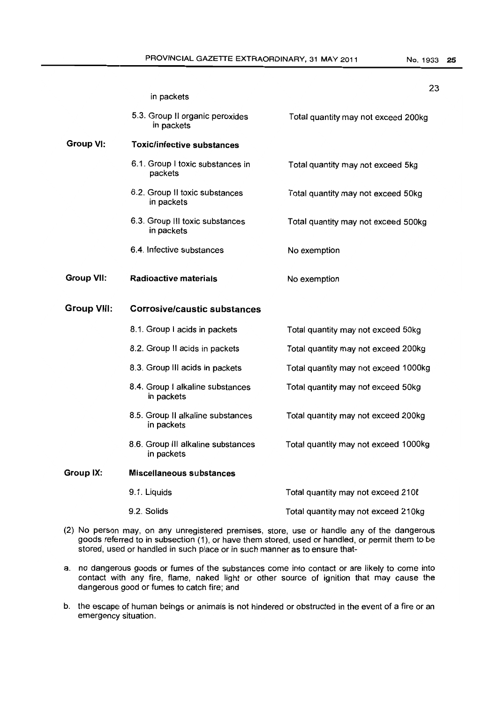PROVINCIAL GAZETTE EXTRAORDINARY, 31 MAY 2011 No. 1933 25

|                    |                                                                                                                                                                                                                                                                             |                                      | 23 |
|--------------------|-----------------------------------------------------------------------------------------------------------------------------------------------------------------------------------------------------------------------------------------------------------------------------|--------------------------------------|----|
|                    | in packets                                                                                                                                                                                                                                                                  |                                      |    |
|                    | 5.3. Group II organic peroxides<br>in packets                                                                                                                                                                                                                               | Total quantity may not exceed 200kg  |    |
| <b>Group VI:</b>   | <b>Toxic/infective substances</b>                                                                                                                                                                                                                                           |                                      |    |
|                    | 6.1. Group I toxic substances in<br>packets                                                                                                                                                                                                                                 | Total quantity may not exceed 5kg    |    |
|                    | 6.2. Group II toxic substances<br>in packets                                                                                                                                                                                                                                | Total quantity may not exceed 50kg   |    |
|                    | 6.3. Group III toxic substances<br>in packets                                                                                                                                                                                                                               | Total quantity may not exceed 500kg  |    |
|                    | 6.4. Infective substances                                                                                                                                                                                                                                                   | No exemption                         |    |
| <b>Group VII:</b>  | <b>Radioactive materials</b>                                                                                                                                                                                                                                                | No exemption                         |    |
| <b>Group VIII:</b> | <b>Corrosive/caustic substances</b>                                                                                                                                                                                                                                         |                                      |    |
|                    | 8.1. Group I acids in packets                                                                                                                                                                                                                                               | Total quantity may not exceed 50kg   |    |
|                    | 8.2. Group II acids in packets                                                                                                                                                                                                                                              | Total quantity may not exceed 200kg  |    |
|                    | 8.3. Group III acids in packets                                                                                                                                                                                                                                             | Total quantity may not exceed 1000kg |    |
|                    | 8.4. Group I alkaline substances<br>in packets                                                                                                                                                                                                                              | Total quantity may not exceed 50kg   |    |
|                    | 8.5. Group II alkaline substances<br>in packets                                                                                                                                                                                                                             | Total quantity may not exceed 200kg  |    |
|                    | 8.6. Group III alkaline substances<br>in packets                                                                                                                                                                                                                            | Total quantity may not exceed 1000kg |    |
| Group IX:          | <b>Miscellaneous substances</b>                                                                                                                                                                                                                                             |                                      |    |
|                    | 9.1. Liquids                                                                                                                                                                                                                                                                | Total quantity may not exceed 2100   |    |
|                    | 9.2. Solids                                                                                                                                                                                                                                                                 | Total quantity may not exceed 210kg  |    |
|                    | (2) No person may, on any unregistered premises, store, use or handle any of the dangerous<br>goods referred to in subsection (1), or have them stored, used or handled, or permit them to be<br>stored, used or handled in such place or in such manner as to ensure that- |                                      |    |

- a. no dangerous goods or fumes of the substances come into contact or are likely to come into contact with any fire, flame, naked light or other source of ignition that may cause the dangerous good or fumes to catch fire; and
- b. the escape of human beings or animals is not hindered or obstructed in the event of a fire or an emergency situation.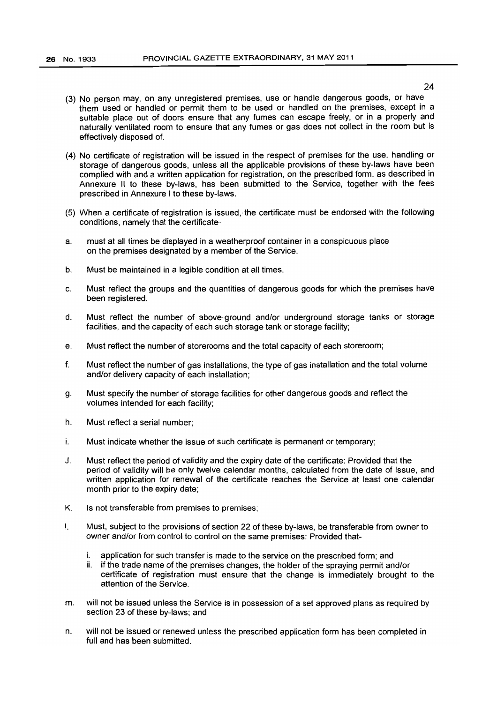- (3) No person may, on any unregistered premises, use or handle dangerous goods, or have them used or handled or permit them to be used or handled on the premises, except in a suitable place out of doors ensure that any fumes can escape freely, or in a properly and naturally ventilated room to ensure that any fumes or gas does not collect in the room but is effectively disposed of.
- (4) No certificate of registration will be issued in the respect of premises for the use, handling or storage of dangerous goods, unless all the applicable provisions of these by-laws have been complied with and a written application for registration, on the prescribed form, as described in Annexure II to these by-laws, has been submitted to the Service, together with the fees prescribed in Annexure I to these by-laws.
- (5) When a certificate of registration is issued,·the certificate must be endorsed with the following conditions, namely that the certificate-
- a. must at all times be displayed in a weatherproof container in a conspicuous place on the premises designated by a member of the Service.
- b. Must be maintained in a legible condition at all times.
- c. Must reflect the groups and the quantities of dangerous goods for which the premises have been registered.
- d. Must reflect the number of above-ground and/or underground storage tanks or storage facilities, and the capacity of each such storage tank or storage facility;
- e. Must reflect the number of storerooms and the total capacity of each storeroom;
- f. Must reflect the number of gas installations. the type of gas installation and the total volume and/or delivery capacity of each installation;
- g. Must specify the number of storage facilities for other dangerous goods and reflect the volumes intended for each facility;
- h. Must reflect a serial number;
- i. Must indicate whether the issue of such certificate is permanent or temporary;
- J. Must reflect the period of validity and the expiry date of the certificate: Provided that the period of validity will be only twelve calendar months, calculated from the date of issue, and written application for renewal of the certificate reaches the Service at least one calendar month prior to the expiry date;
- K. Is not transferable from premises to premises;
- I. Must, subject to the provisions of section 22 of these by-laws, be transferable from owner to owner and/or from control to control on the same premises: Provided that
	- i. application for such transfer is made to the service on the prescribed form; and
	- ii. if the trade name of the premises changes, the holder of the spraying permit and/or certificate of registration must ensure that the change is immediately brought to the attention of the Service.
- m. will not be issued unless the Service is in possession of a set approved plans as required by section 23 of these by-laws; and
- n. will not be issued or renewed unless the prescribed application form has been completed in full and has been submitted.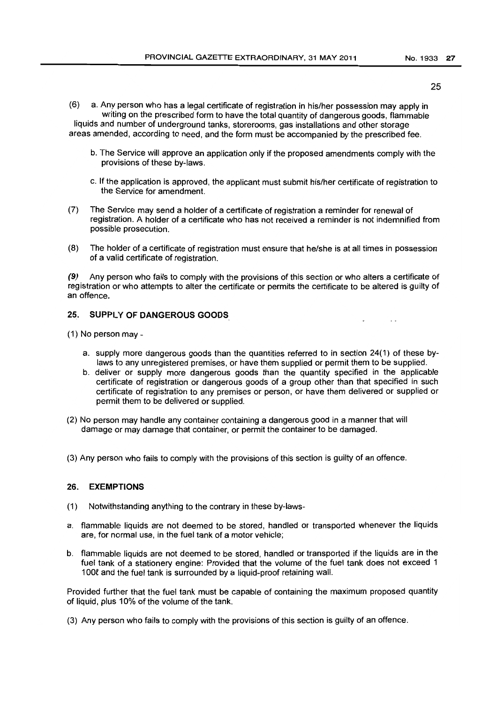$\sim$ 

(6) a. Any person who has a legal certificate of registration in his/her possession may apply in writing on the prescribed form to have the total quantity of dangerous goods, flammable liquids and number of underground tanks, storerooms, gas installations and other storage areas amended, according to need, and the form must be accompanied by the prescribed fee.

- b. The Service will approve an application only if the proposed amendments comply with the provisions of these by-laws.
- c. If the application is approved, the applicant must submit his/her certificate of registration to the Service for amendment.
- (7) The Service may send a holder of a certificate of registration a reminder for renewal of registration. A holder of a certificate who has not received a reminder is not indemnified from possible prosecution.
- (8) The holder of a certificate of registration must ensure that he/she is at all times in possession of a valid certificate of registration.

(9) Any person who fails to comply with the provisions of this section or who alters a certificate of registration or who attempts to alter the certificate or permits the certificate to be altered is guilty of an offence.

#### 25. SUPPLY OF DANGEROUS GOODS

(1) No person may -

- a. supply more dangerous goods than the quantities referred to in section 24(1) of these bylaws to any unregistered premises, or have them supplied or permit them to be supplied.
- b. deliver or supply more dangerous goods than the quantity specified in the applicable certificate of registration or dangerous goods of a group other than that specified in such certificate of registration to any premises or person, or have them delivered or supplied or permit them to be delivered or supplied.
- (2) No person may handle any container containing a dangerous good in a manner that will damage or may damage that container, or permit the container to be damaged.
- (3) Any person who fails to comply with the provisions of this section is guilty of an offence.

#### 26. EXEMPTIONS

- (1) Notwithstanding anything to the contrary in these by-Iaws-
- a. flammable liquids are not deemed to be stored, handled or transported whenever the liquids are, for normal use, in the fuel tank of a motor vehicle;
- b. flammable liquids are not deemed to be stored, handled or transported if the liquids are in the fuel tank of a stationery engine: Provided that the volume of the fuel tank does not exceed 1 100 $\ell$  and the fuel tank is surrounded by a liquid-proof retaining wall.

Provided further that the fuel tank must be capable of containing the maximum proposed quantity of liquid, plus 10% of the volume of the tank.

(3) Any person who fails to comply with the provisions of this section is guilty of an offence.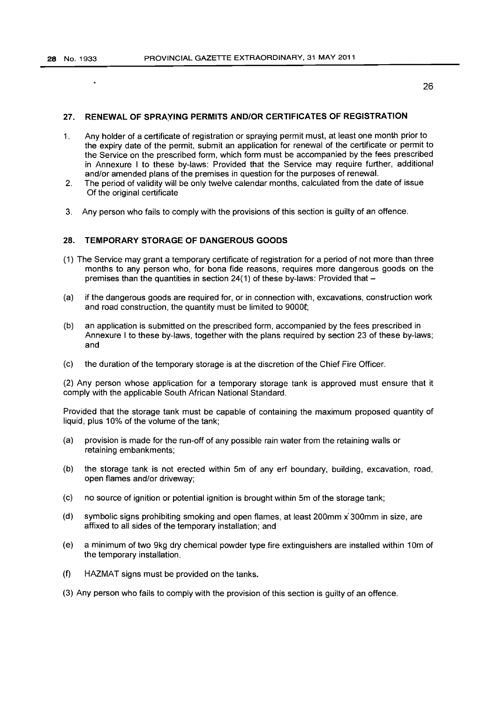#### 27. **RENEWAL OF SPRAYING PERMITS AND/OR CERTIFICATES OF REGISTRATION**

- 1. Any holder of a certificate of registration or spraying permit must, at least one month prior to the expiry date of the permit, submit an application for renewal of the certificate or permit to the Service on the prescribed form, which form must be accompanied by the fees prescribed in Annexure I to these by-laws: Provided that the Service may require further, additional and/or amended plans of the premises in question for the purposes of renewal.
- 2. The period of validity will be only twelve calendar months, calculated from the date of issue Of the original certificate
- 3. Any person who fails to comply with the provisions of this section is guilty of an offence.

#### 28. **TEMPORARY STORAGE OF DANGEROUS GOODS**

- (1) The Service may grant a temporary certificate of registration for a period of not more than three months to any person who, for bona fide reasons, requires more dangerous goods on the premises than the quantities in section 24(1) of these by-laws: Provided that  $-$
- (a) if the dangerous goods are required for, or in connection with, excavations, construction work and road construction, the quantity must be limited to 9000 $\ell$ ;
- (b) an application is submitted on the prescribed form, accompanied by the fees prescribed in Annexure I to these by-laws, together with the plans required by section 23 of these by-laws; and
- (c) the duration of the temporary storage is at the discretion of the Chief Fire Officer.

(2) Any person whose application for a temporary storage tank is approved must ensure that it comply with the applicable South African National Standard.

Provided that the storage tank must be capable of containing the maximum proposed quantity of liquid, plus 10% of the volume of the tank;

- (a) provision is made for the run-off of any possible rain water from the retaining walls or retaining embankments;
- (b) the storage tank is not erected within 5m of any erf boundary, building, excavation, road, open flames and/or driveway;
- (c) no source of ignition or potential ignition is brought within 5m of the storage tank;
- (d) symbolic signs prohibiting smoking and open flames, at least 200mm x' 300mm in size, are affixed to all sides of the temporary installation; and
- (e) a minimum of two 9kg dry chemical powder type fire extinguishers are installed within 10m of the temporary installation.
- (f) HAZMAT signs must be provided on the tanks.
- (3) Any person who fails to comply with the provision of this section is guilty of an offence.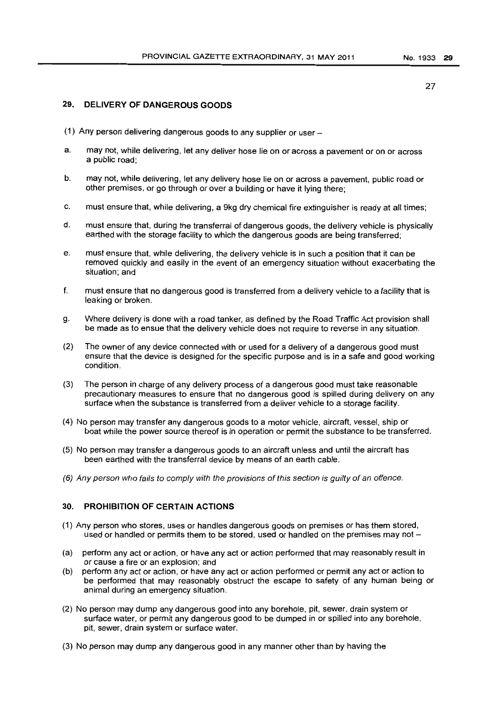#### 29. DELIVERY OF DANGEROUS GOODS

- (1) Any person delivering dangerous goods to any supplier or user-
- a. may not, while delivering, let any deliver hose lie on or across a pavement or on or across a public road;
- b. may not, while delivering, let any delivery hose lie on or across a pavement, public road or other premises, or go through or over a building or have it lying there;
- c. must ensure that, while delivering, a 9kg dry chemical fire extinguisher is ready at all times;
- d. must ensure that, during the transferral of dangerous goods, the delivery vehicle is physically earthed with the storage facility to which the dangerous goods are being transferred;
- e. must ensure that, while delivering, the delivery vehicle is in such a position that it can be removed quickly and easily in the event of an emergency situation without exacerbating the situation; and
- f. must ensure that no dangerous good is transferred from a delivery vehicle to a facility that is leaking or broken.
- g. Where delivery is done with a road tanker, as defined by the Road Traffic Act provision shall be made as to ensue that the delivery vehicle does not require to reverse in any situation.
- (2) The owner of any device connected with or used for a delivery of a dangerous good must ensure that the device is designed for the specific purpose and is in a safe and good working condition.
- (3) The person in charge of any delivery process of a dangerous good must take reasonable precautionary measures to ensure that no dangerous good is spilled during delivery on any surface when the substance is transferred from a deliver vehicle to a storage facility.
- (4) No person may transfer any dangerous goods to a motor vehicle, aircraft, vessel, ship or boat while the power source thereof is in operation or permit the substance to be transferred.
- (5) No person may transfer a dangerous goods to an aircraft unless and until the aircraft has been earthed with the transferral device by means of an earth cable.
- (6) Any person who fails to comply with the provisions of this section is guilty of an offence.

#### 30. PROHIBITION OF CERTAIN ACTIONS

- (1) Any person who stores, uses or handles dangerous goods on premises or has them stored, used or handled or permits them to be stored, used or handled on the premises may not  $-$
- (a) perform any act or action, or have any act or action performed that may reasonably result in or cause a fire or an explosion; and
- (b) perform any act or action, or have any act or action performed or permit any act or action to be performed that may reasonably obstruct the escape to safety of any human being or animal during an emergency situation.
- (2) No person may dump any dangerous good into any borehole, pit, sewer, drain system or surface water, or permit any dangerous good to be dumped in or spilled into any borehole, pit, sewer, drain system or surface water.
- (3) No person may dump any dangerous good in any manner other than by having the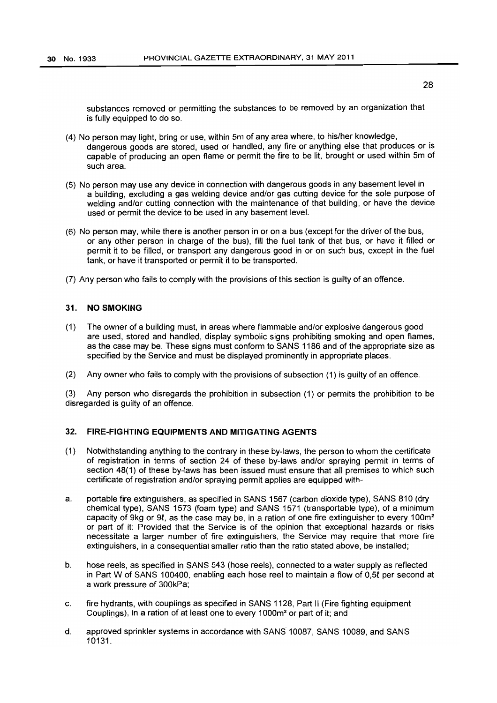substances removed or permitting the substances to be removed by an organization that is fully equipped to do so.

- (4) No person may light, bring or use, within 5m of any area where, to his/her knowledge, dangerous goods are stored, used or handled, any fire or anything else that produces or is capable of producing an open flame or permit the fire to be lit, brought or used within 5m of such area.
- (5) No person may use any device in connection with dangerous goods in any basement level in a building, excluding a gas welding device and/or gas cutting device for the sole purpose of welding and/or cutting connection with the maintenance of that building, or have the device used or permit the device to be used in any basement level.
- (6) No person may, while there is another person in or on a bus (except for the driver of the bus, or any other person in charge of the bus), fill the fuel tank of that bus, or have it filled or permit it to be filled, or transport any dangerous good in or on such bus, except in the fuel tank, or have it transported or permit it to be transported.
- (7) Any person who fails to comply with the provisions of this section is guilty of an offence.

#### 31. **NO** SMOKING

- (1) The owner of a building must, in areas where flammable and/or explosive dangerous good are used, stored and handled, display symbolic signs prohibiting smoking and open flames, as the case may be. These signs must conform to SANS 1186 and of the appropriate size as specified by the Service and must be displayed prominently in appropriate places.
- (2) Any owner who fails to comply with the provisions of subsection (1) is guilty of an offence.

(3) Any person who disregards the prohibition in SUbsection (1) or permits the prohibition to be disregarded is guilty of an offence.

#### 32. FIRE-FIGHTING EQUIPMENTS AND MITIGATING AGENTS

- (1) Notwithstanding anything to the contrary in these by-laws, the person to whom the certificate of registration in terms of section 24 of these by-laws and/or spraying permit in terms of section 48(1) of these by-laws has been issued must ensure that all premises to which such certificate of registration and/or spraying permit applies are equipped with-
- a. portable fire extinguishers, as specified in SANS 1567 (carbon dioxide type), SANS 810 (dry chemical type), SANS 1573 (foam type) and SANS 1571 (transportable type), of a minimum capacity of 9kg or 9 $\ell$ , as the case may be, in a ration of one fire extinguisher to every 100 $m<sup>2</sup>$ or part of it: Provided that the Service is of the opinion that exceptional hazards or risks necessitate a larger number of fire extinguishers, the Service may require that more fire extinguishers, in a consequential smaller ratio than the ratio stated above, be installed;
- b. hose reels, as specified in SANS 543 (hose reels), connected to a water supply as reflected in Part W of SANS 100400, enabling each hose reel to maintain a flow of O,5t per second at a work pressure of 300kPa;
- c. fire hydrants, with couplings as specified in SANS 1128, Part II (Fire fighting equipment Couplings), in a ration of at least one to every 1000m2 or part of it; and
- d. approved sprinkler systems in accordance with SANS 10087, SANS 10089, and SANS 10131.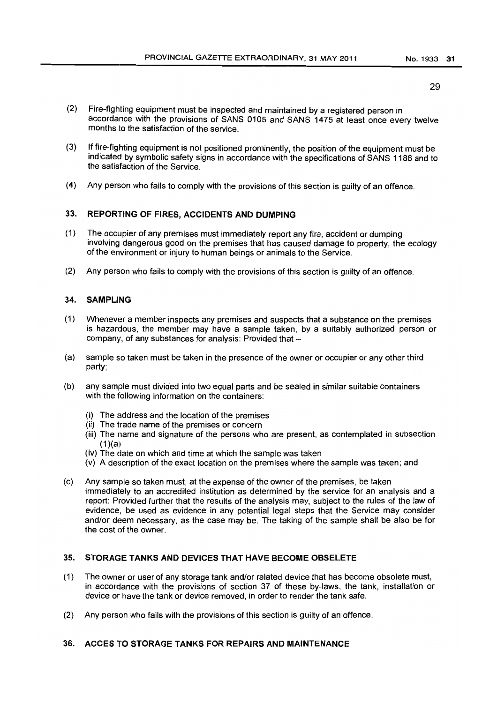- 29
- (2) Fire-fighting equipment must be inspected and maintained by a registered person in accordance with the provisions of SANS 0105 and SANS 1475 at least once every twelve months to the satisfaction of the service.
- (3) If fire-fighting equipment is not positioned prominently, the position of the equipment must be indicated by symbolic safety signs in accordance with the specifications of SANS 1186 and to the satisfaction of the Service.
- (4) Any person who fails to comply with the provisions of this section is guilty of an offence.

#### 33. REPORTING OF FIRES, ACCIDENTS AND DUMPING

- (1) The occupier of any premises must immediately report any fire, accident or dumping involving dangerous good on the premises that has caused damage to property, the ecology of the environment or injury to human beings or animals to the Service.
- (2) Any person who fails to comply with the provisions of this section is guilty of an offence.

#### 34. SAMPLING

- $(1)$  Whenever a member inspects any premises and suspects that a substance on the premises is hazardous, the member may have a sample taken, by a suitably authorized person or company, of any substances for analysis: Provided that  $-$
- (a) sample so taken must be taken in the presence of the owner or occupier or any other third party;
- (b) any sample must divided into two equal parts and be sealed in similar suitable containers with the following information on the containers:
	- (i) The address and the location of the premises
	- (ii) The trade name of the premises or concern
	- (iii) The name and signature of the persons who are present, as contemplated in subsection  $(1)(a)$
	- (iv) The date on which and time at which the sample was taken
	- (v) A description of the exact location on the premises where the sample was taken; and
- (c) Any sample so taken must, at the expense of the owner of the premises, be taken immediately to an accredited institution as determined by the service for an analysis and a report: Provided further that the results of the analysis may, subject to the rules of the law of evidence, be used as evidence in any potential legal steps that the Service may consider and/or deem necessary, as the case may be. The taking of the sample shall be also be for the cost of the owner.

#### 35. STORAGE TANKS AND DEVICES THAT HAVE BECOME OBSELETE

- (1) The owner or user of any storage tank and/or related device that has become obsolete must, in accordance with the provisions of section 37 of these by-laws, the tank, installation or device or have the tank or device removed, in order to render the tank safe.
- (2) Any person who fails with the provisions of this section is guilty of an offence.

#### 36. ACCES TO STORAGE TANKS FOR REPAIRS AND MAINTENANCE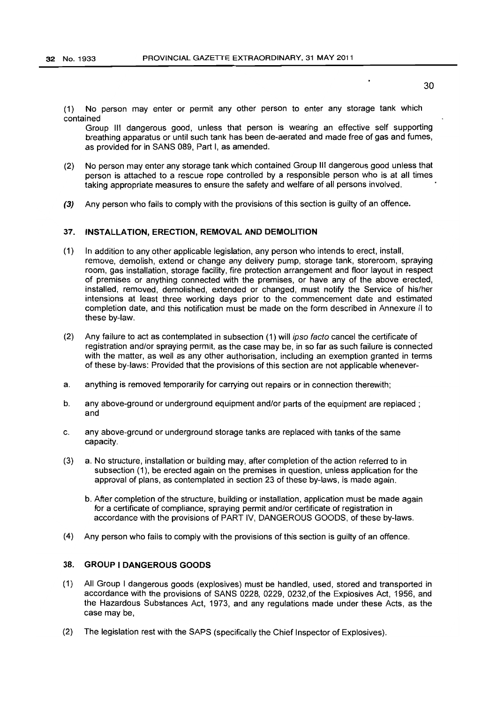(1) No person may enter or permit any other person to enter any storage tank which contained

Group III dangerous good, unless that person is wearing an effective self supporting breathing apparatus or until such tank has been de-aerated and made free of gas and fumes, as provided for in SANS 089, Part I, as amended.

- (2) No person may enter any storage tank which contained Group III dangerous good unless that person is attached to a rescue rope controlled by a responsible person who is at all times taking appropriate measures to ensure the safety and welfare of all persons involved.
- (3) Any person who fails to comply with the provisions of this section is guilty of an offence.

#### 37. INSTALLATION, ERECTION, REMOVAL AND DEMOLITION

- (1) In addition to any other applicable legislation, any person who intends to erect, install, remove, demolish, extend or change any delivery pump, storage tank, storeroom, spraying room, gas installation, storage facility, fire protection arrangement and floor layout in respect of premises or anything connected with the premises, or have any of the above erected, installed, removed, demolished, extended or changed, must notify the Service of his/her intensions at least three working days prior to the commencement date and estimated completion date, and this notification must be made on the form described in Annexure II to these by-law.
- (2) Any failure to act as contemplated in subsection (1) will ipso facto cancel the certificate of registration and/or spraying permit, as the case may be, in so far as such failure is connected with the matter, as well as any other authorisation, including an exemption granted in terms of these by-laws: Provided that the provisions of this section are not applicable whenever-
- a. anything is removed temporarily for carrying out repairs or in connection therewith;
- b. any above-ground or underground equipment and/or parts of the equipment are replaced; and
- c. any above-ground or underground storage tanks are replaced with tanks of the same capacity.
- (3) a. No structure, installation or building may, after completion of the action referred to in subsection (1), be erected again on the premises in question, unless application for the approval of plans, as contemplated in section 23 of these by-laws, is made again.
	- b. After completion of the structure, building or installation, application must be made again for a certificate of compliance, spraying permit and/or certificate of registration in accordance with the provisions of PART IV, DANGEROUS GOODS, of these by-laws.
- (4) Any person who fails to comply with the provisions of this section is guilty of an offence.

#### 38. GROUP I DANGEROUS GOODS

- (1) All Group I dangerous goods (explosives) must be handled, used, stored and transported in accordance with the provisions of SANS 0228, 0229, 0232,of the Explosives Act, 1956, and the Hazardous Substances Act, 1973, and any regulations made under these Acts, as the case may be,
- (2) The legislation rest with the SAPS (specifically the Chief Inspector of Explosives).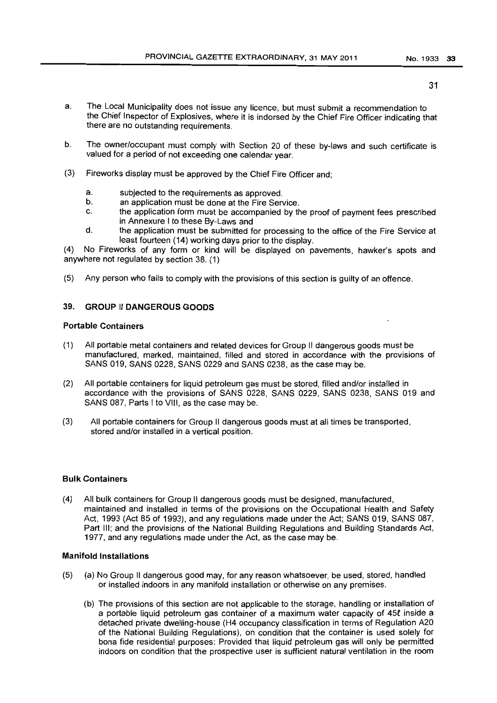- a. The Local Municipality does not issue any licence, but must submit a recommendation to the Chief Inspector of Explosives, where it is indorsed by the Chief Fire Officer indicating that there are no outstanding requirements.
- b. The owner/occupant must comply with Section 20 of these by-laws and such certificate is valued for a period of not exceeding one calendar year.
- (3) Fireworks display must be approved by the Chief Fire Officer and;
	- a. subjected to the requirements as approved.
	- b. an application must be done at the Fire Service.
	- c. the application form must be accompanied by the proof of payment fees prescribed in Annexure I to these By-Laws and
	- d. the application must be submitted for processing to the office of the Fire Service at least fourteen (14) working days prior to the display.

(4) No Fireworks of any form or kind will be displayed on pavements, hawker's spots and anywhere not regulated by section 38. (1)

(5) Any person who fails to comply with the provisions of this section is guilty of an offence.

#### 39. GROUP II DANGEROUS GOODS

#### Portable Containers

- (1) All portable metal containers and related devices for Group II dangerous goods must be manufactured, marked, maintained, filled and stored in accordance with the provisions of SANS 019, SANS 0228, SANS 0229 and SANS 0238, as the case may be.
- (2) All portable containers for liquid petroleum gas must be stored, filled and/or installed in accordance with the provisions of SANS 0228, SANS 0229, SANS 0238, SANS 019 and SANS 087, Parts I to VIII, as the case may be.
- (3) All portable containers for Group II dangerous goods must at all times be transported, stored and/or installed in a vertical position.

#### Bulk Containers

(4) All bulk containers for Group II dangerous goods must be designed, manufactured, maintained and installed in terms of the provisions on the Occupational Health and Safety Act, 1993 (Act 85 of 1993), and any regulations made under the Act; SANS 019, SANS 087, Part III; and the provisions of the National Building Regulations and Building Standards Act, 1977, and any regulations made under the Act, as the case may be.

#### Manifold Installations

- (5) (a) No Group II dangerous good may, for any reason whatsoever, be used, stored, handled or installed indoors in any manifold installation or otherwise on any premises.
	- (b) The provisions of this section are not applicable to the storage, handling or installation of a portable liquid petroleum gas container of a maximum water capacity of *45l* inside a detached private dwelling-house (H4 occupancy classification in terms of Regulation A20 of the National Building Regulations), on condition that the container is used solely for bona fide residential purposes: Provided that liquid petroleum gas will only be permitted indoors on condition that the prospective user is sufficient natural ventilation in the room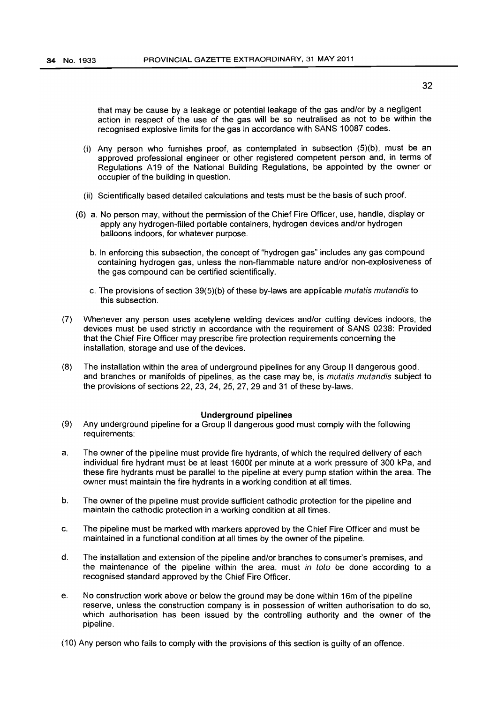that may be cause by a leakage or potential leakage of the gas and/or by a negligent action in respect of the use of the gas will be so neutralised as not to be within the recognised explosive limits for the gas in accordance with SANS 10087 codes.

- (i) Any person who furnishes proof, as contemplated in subsection (5)(b), must be an approved professional engineer or other registered competent person and, in terms of Regulations A 19 of the National Building Regulations, be appointed by the owner or occupier of the building in question.
- (ii) Scientifically based detailed calculations and tests must be the basis of such proof.
- (6) a. No person may, without the permission of the Chief Fire Officer, use, handle, display or apply any hydrogen-filled portable containers, hydrogen devices and/or hydrogen balloons indoors, for whatever purpose.
	- b. In enforcing this subsection, the concept of "hydrogen gas" includes any gas compound containing hydrogen gas, unless the non-flammable nature and/or non-explosiveness of the gas compound can be certified scientifically.
	- c. The provisions of section 39(5)(b) of these by-laws are applicable mutatis mutandis to this subsection.
- (7) Whenever any person uses acetylene welding devices and/or cutting devices indoors, the devices must be used strictly in accordance with the requirement of SANS 0238: Provided that the Chief Fire Officer may prescribe fire protection requirements concerning the installation, storage and use of the devices.
- (8) The installation within the area of underground pipelines for any Group II dangerous good, and branches or manifolds of pipelines, as the case may be, is mutatis mutandis subject to the provisions of sections 22, 23, 24, 25, 27, 29 and 31 of these by-laws.

#### **Underground pipelines**

- (9) Any underground pipeline for a Group II dangerous good must comply with the following requirements:
- a. The owner of the pipeline must provide fire hydrants, of which the required delivery of each individual fire hydrant must be at least 1600 per minute at a work pressure of 300 kPa, and these fire hydrants must be parallel to the pipeline at every pump station within the area. The owner must maintain the fire hydrants in a working condition at all times.
- b. The owner of the pipeline must provide sufficient cathodic protection for the pipeline and maintain the cathodic protection in a working condition at all times.
- c. The pipeline must be marked with markers approved by the Chief Fire Officer and must be maintained in a functional condition at all times by the owner of the pipeline.
- d. The installation and extension of the pipeline and/or branches to consumer's premises, and the maintenance of the pipeline within the area, must in toto be done according to a recognised standard approved by the Chief Fire Officer.
- e. No construction work above or below the ground may be done within 16m of the pipeline reserve, unless the construction company is in possession of written authorisation to do so, which authorisation has been issued by the controlling authority and the owner of the pipeline.
- (10) Any person who fails to comply with the provisions of this section is guilty of an offence.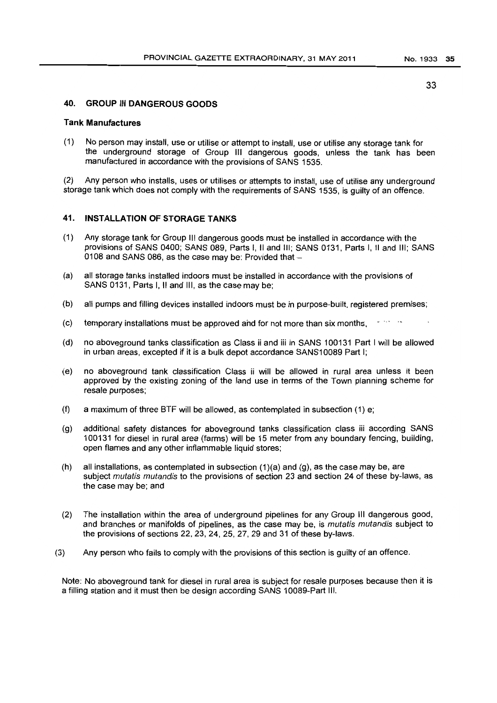#### 40. GROUP III DANGEROUS GOODS

#### Tank Manufactures

(1) No person may install, use or utilise or attempt to install, use or utilise any storage tank for the underground storage of Group III dangerous goods, unless the tank has been manufactured in accordance with the provisions of SANS 1535.

(2) Any person who installs, uses or utilises or attempts to install, use of utilise any underground storage tank which does not comply with the requirements of SANS 1535, is guilty of an offence.

#### 41. INSTALLATION OF STORAGE TANKS

- (1) Any storage tank for Group III dangerous goods must be installed in accordance with the provisions of SANS 0400; SANS 089, Parts I, II and III; SANS 0131, Parts I, II and III; SANS 0108 and SANS 086, as the case may be: Provided that
- (a) all storage tanks installed indoors must be installed in accordance with the provisions of SANS 0131, Parts I, II and III, as the case may be;
- (b) all pumps and filling devices installed indoors must be in purpose-built, registered premises;
- (c) temporary installations must be approved and for not more than six months,
- (d) no aboveground tanks classification as Class ii and iii in SANS 100131 Part I will be allowed in urban areas, excepted if it is a bulk depot accordance SANS10089 Part I;
- (e) no aboveground tank classification Class ii will be allowed in rural area unless it been approved by the existing zoning of the land use in terms of the Town planning scheme for resale purposes;
- (f) a maximum of three BTF will be allowed, as contemplated in subsection (1) e;
- (g) additional safety distances for aboveground tanks classification class iii according SANS 100131 for diesel in rural area (farms) will be 15 meter from any boundary fencing, building, open flames and any other inflammable liquid stores;
- (h) all installations, as contemplated in subsection  $(1)(a)$  and  $(a)$ , as the case may be, are subject *mutatis mutandis* to the provisions of section 23 and section 24 of these by-laws, as the case may be; and
- (2) The installation within the area of underground pipelines for any Group III dangerous good, and branches or manifolds of pipelines, as the case may be, is mutatis mutandis subject to the provisions of sections 22, 23, 24, 25, 27, 29 and 31 of these by-laws.
- (3) Any person who fails to comply with the provisions of this section is guilty of an offence.

Note: No aboveground tank for diesel in rural area is subject for resale purposes because then it is a filling station and it must then be design according SANS 10089-Part III.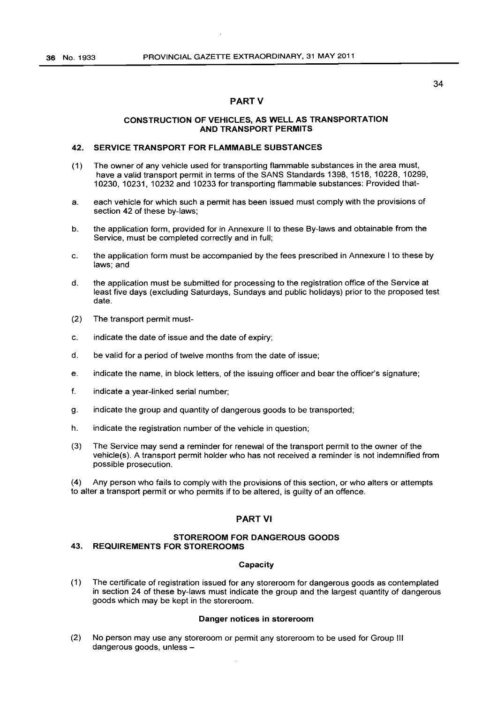#### PART V

#### CONSTRUCTION OF VEHICLES, AS WELL AS TRANSPORTATION AND TRANSPORT PERMITS

#### 42. SERVICE TRANSPORT FOR FLAMMABLE SUBSTANCES

- (1) The owner of any vehicle used for transporting flammable substances in the area must, have a valid transport permit in terms of the SANS Standards 1398, 1518, 10228, 10299, 10230, 10231, 10232 and 10233 for transporting flammable substances: Provided that-
- a. each vehicle for which such a permit has been issued must comply with the provisions of section 42 of these by-laws;
- b. the application form, provided for in Annexure II to these By-laws and obtainable from the Service, must be completed correctly and in full;
- c. the application form must be accompanied by the fees prescribed in Annexure I to these by laws; and
- d. the application must be submitted for processing to the registration office of the Service at least five days (excluding Saturdays, Sundays and public holidays) prior to the proposed test date.
- (2) The transport permit must-
- c. indicate the date of issue and the date of expiry;
- d. be valid for a period of twelve months from the date of issue;
- e. indicate the name, in block letters, of the issuing officer and bear the officer's signature;
- f. indicate a year-linked serial number;
- g. indicate the group and quantity of dangerous goods to be transported;
- h. indicate the registration number of the vehicle in question;
- (3) The Service may send a reminder for renewal of the transport permit to the owner of the vehicle(s). A transport permit holder who has not received a reminder is not indemnified from possible prosecution.

(4) Any person who fails to comply with the provisions of this section, or who alters or attempts to alter a transport permit or who permits if to be altered, is guilty of an offence.

#### PART VI

#### STOREROOM FOR DANGEROUS GOODS 43. REQUIREMENTS FOR STOREROOMS

#### Capacity

(1) The certificate of registration issued for any storeroom for dangerous goods as contemplated in section 24 of these by-laws must indicate the group and the largest quantity of dangerous goods which may be kept in the storeroom.

#### Danger notices in storeroom

(2) No person may use any storeroom or permit any storeroom to be used for Group III dangerous goods, unless -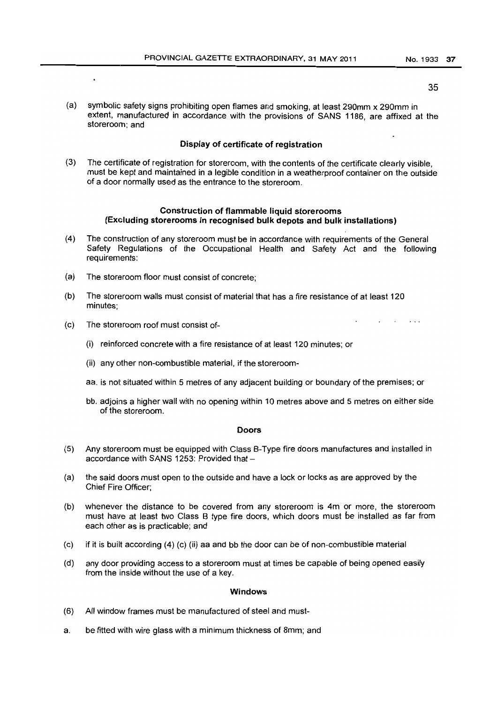$\cdot$   $\cdot$   $\cdot$   $\cdot$   $\cdot$ 

(a) symbolic safety signs prohibiting open flames and smoking, at least 290mm x 290mm in extent, manufactured in accordance with the provisions of SANS 1186, are affixed at the storeroom; and

#### Display of certificate of registration

(3) The certificate of registration for storeroom, with the contents of the certificate clearly visible, must be kept and maintained in a legible condition in a weatherproof container on the outside of a door normally used as the entrance to the storeroom.

#### Construction of flammable liquid storerooms (Excluding storerooms in recognised bulk depots and bulk installations)

- (4) The construction of any storeroom must be in accordance with requirements of the General Safety Hegulations of the Occupational Health and Safety Act and the following requirements:
- (a) The storeroom floor must consist of concrete;
- (b) The storeroom walls must consist of material that has a fire resistance of at least 120 minutes;
- (c) The storeroom roof must consist of-

 $\ddot{\phantom{0}}$ 

- (i) reinforced concrete with a fire resistance of at least 120 minutes; or
- (ii) any other non-combustible material, if the storeroom-
- aa. is not situated within 5 metres of any adjacent building or boundary of the premises; or
- bb. adjoins a higher wall with no opening within 10 metres above and 5 metres on either side of the storeroom.

#### Doors

- (5) Any storeroom must be equipped with Class B-Type fire doors manufactures and installed in accordance with SANS 1253: Provided that
- (a) the said doors must open to the outside and have a lock or locks as are approved by the Chief Fire Officer;
- (b) whenever the distance to be covered from any storeroom is 4m or more, the storeroom must have at least two Class B type fire doors, which doors must be installed as far from each other as is practicable; and
- (c) if it is built according (4) (c) (ii) aa and bb the door can be of non-combustible material
- (d) any door providing access to a storeroom must at times be capable of being opened easily from the inside without the use of a key.

#### **Windows**

- (6) All window frames must be manufactured of steel and must-
- a. be fitted with wire glass with a minimum thickness of 8mm; and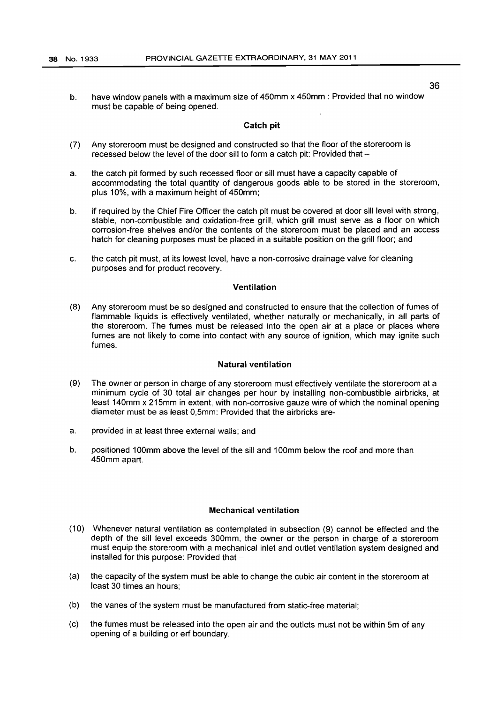b. have window panels with a maximum size of 4S0mm x 4S0mm : Provided that no window must be capable of being opened.

#### Catch pit

- (7) Any storeroom must be designed and constructed so that the floor of the storeroom is recessed below the level of the door sill to form a catch pit: Provided that -
- a. the catch pit formed by such recessed floor or sill must have a capacity capable of accommodating the total quantity of dangerous goods able to be stored in the storeroom, plus 10%, with a maximum height of 4S0mm;
- b. if required by the Chief Fire Officer the catch pit must be covered at door sill level with strong, stable, non-combustible and oxidation-free grill, which grill must serve as a floor on which corrosion-free shelves and/or the contents of the storeroom must be placed and an access hatch for cleaning purposes must be placed in a suitable position on the grill floor; and
- c. the catch pit must, at its lowest level, have a non-corrosive drainage valve for cleaning purposes and for product recovery.

#### Ventilation

(8) Any storeroom must be so designed and constructed to ensure that the collection of fumes of flammable liquids is effectively ventilated, whether naturally or mechanically, in all parts of the storeroom. The fumes must be released into the open air at a place or places where fumes are not likely to come into contact with any source of ignition, which may ignite such fumes.

#### Natural ventilation

- (9) The owner or person in charge of any storeroom must effectively ventilate the storeroom at a minimum cycle of 30 total air changes per hour by installing non-combustible airbricks, at least 140mm x 21Smm in extent, with non-corrosive gauze wire of which the nominal opening diameter must be as least O,Smm: Provided that the airbricks are-
- a. provided in at least three external walls; and
- b. positioned 100mm above the level of the sill and 100mm below the roof and more than 4S0mm apart.

#### Mechanical ventilation

- (10) Whenever natural ventilation as contemplated in subsection (9) cannot be effected and the depth of the sill level exceeds 300mm, the owner or the person in charge of a storeroom must equip the storeroom with a mechanical inlet and outlet ventilation system designed and installed for this purpose: Provided that  $-$
- (a) the capacity of the system must be able to change the cubic air content in the storeroom at least 30 times an hours;
- (b) the vanes of the system must be manufactured from static-free material;
- (c) the fumes must be released into the open air and the outlets must not be within Sm of any opening of a building or erf boundary.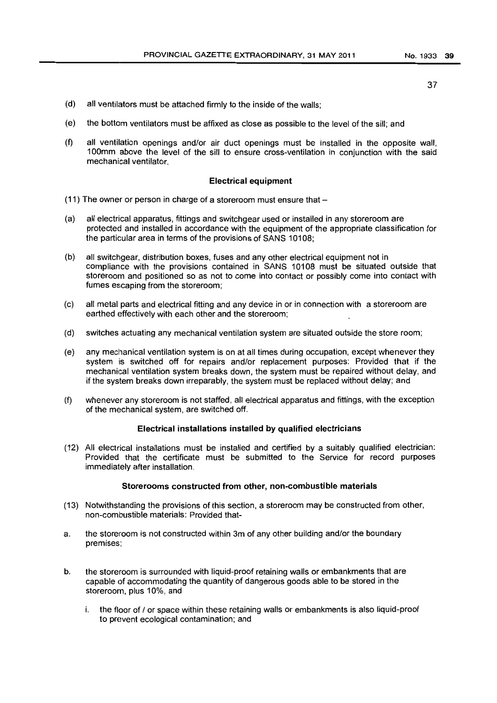- (d) all ventilators must be attached firmly to the inside of the walls;
- (e) the bottom ventilators must be affixed as close as possible to the level of the sit!; and
- (f) all ventilation openings and/or air duct openings must be installed in the opposite wall, 100mm above the level of the sill to ensure cross-ventilation in conjunction with the said mechanical ventilator.

#### Electrical equipment

- (11) The owner or person in charge of a storeroom must ensure that  $-$
- (a) all electrical apparatus, fittings and switchgear used or installed in any storeroom are protected and installed in accordance with the equipment of the appropriate classification for the particular area in terms of the provisions of SANS 10108;
- (b) all switchgear, distribution boxes, fuses and any other electrical equipment not in compliance with the provisions contained in SANS 10108 must be situated outside that storeroom and positioned so as not to come into contact or possibly come into contact with fumes escaping from the storeroom;
- (c) all metal parts and electrical fitting and any device in or in connection with a storeroom are earthed effectively with each other and the storeroom;
- (d) switches actuating any mechanical ventilation system are situated outside the store room;
- (e) any mechanical ventilation system is on at all times during occupation, except whenever they system is switched off for repairs and/or replacement purposes: Provided that if the mechanical ventilation system breaks down, the system must be repaired without delay, and if the system breaks down irreparably, the system must be replaced without delay; and
- (f) whenever any storeroom is not staffed, all electrical apparatus and fittings, with the exception of the mechanical system, are switched off.

#### Electrical installations installed by qualified electricians

(12) All electrical installations must be installed and certified by a suitably qualified electrician: Provided that the certificate must be submitted to the Service for record purposes immediately after installation.

#### Storerooms constructed from other, non-combustible materials

- (13) Notwithstanding the provisions of this section, a storeroom may be constructed from other, non-combustible materials: Provided that-
- a. the storeroom is not constructed within 3m of any other building and/or the boundary premises;
- b. the storeroom is surrounded with liquid-proof retaining walls or embankments that are capable of accommodating the quantity of dangerous goods able to be stored in the storeroom, plus 10%, and
	- $1.$  the floor of  $/$  or space within these retaining walls or embankments is also liquid-proof to prewent ecological contamination; and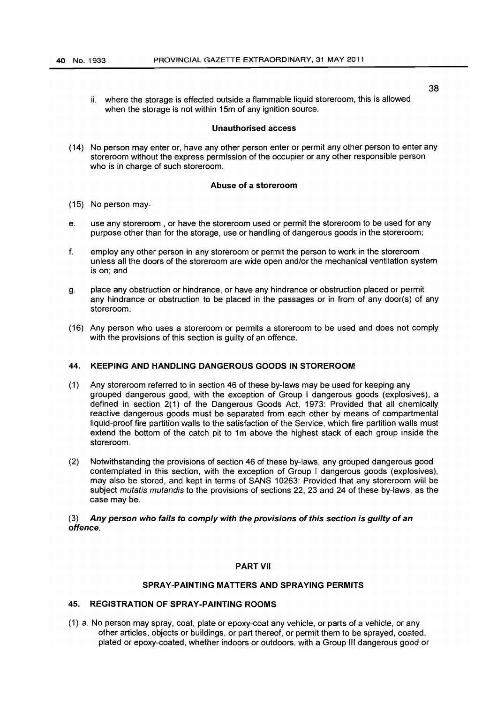ii. where the storage is effected outside a flammable liquid storeroom, this is allowed when the storage is not within 15m of any ignition source.

#### Unauthorised access

(14) No person may enter or, have any other person enter or permit any other person to enter any storeroom without the express permission of the occupier or any other responsible person who is in charge of such storeroom.

#### Abuse of a storeroom

- (15) No person may-
- e. use any storeroom, or have the storeroom used or permit the storeroom to be used for any purpose other than for the storage, use or handling of dangerous goods in the storeroom;
- f. employ any other person in any storeroom or permit the person to work in the storeroom unless all the doors of the storeroom are wide open and/or the mechanical ventilation system is on; and
- g. place any obstruction or hindrance, or have any hindrance or obstruction placed or permit any hindrance or obstruction to be placed in the passages or in from of any door(s) of any storeroom.
- (16) Any person who uses a storeroom or permits a storeroom to be used and does not comply with the provisions of this section is quilty of an offence.

#### 44. KEEPING AND HANDLING DANGEROUS GOODS IN STOREROOM

- (1) Any storeroom referred to in section 46 of these by-laws may be used for keeping any grouped dangerous good, with the exception of Group I dangerous goods (explosives), a defined in section 2(1) of the Dangerous Goods Act, 1973: Provided that all chemically reactive dangerous goods must be separated from each other by means of compartmental liquid-proof fire partition walls to the satisfaction of the Service, which fire partition walls must extend the bottom of the catch pit to 1m above the highest stack of each group inside the storeroom.
- (2) Notwithstanding the provisions of section 46 of these by-laws, any grouped dangerous good contemplated in this section, with the exception of Group I dangerous goods (explosives), may also be stored, and kept in terms of SANS 10263: Provided that any storeroom will be subject mutatis mutandis to the provisions of sections 22, 23 and 24 of these by-laws, as the case may be.

(3) Any person who fails to comply with the provisions of this section is guilty of an offence.

#### PART VII

#### SPRAY-PAINTING MATTERS AND SPRAYING PERMITS

#### 45. REGISTRATION OF SPRAY-PAINTING ROOMS

(1) a. No person may spray, coat, plate or epoxy-coat any vehicle, or parts of a vehicle, or any other articles, objects or buildings, or part thereof, or permit them to be sprayed, coated, plated or epoxy-coated, whether indoors or outdoors, with a Group III dangerous good or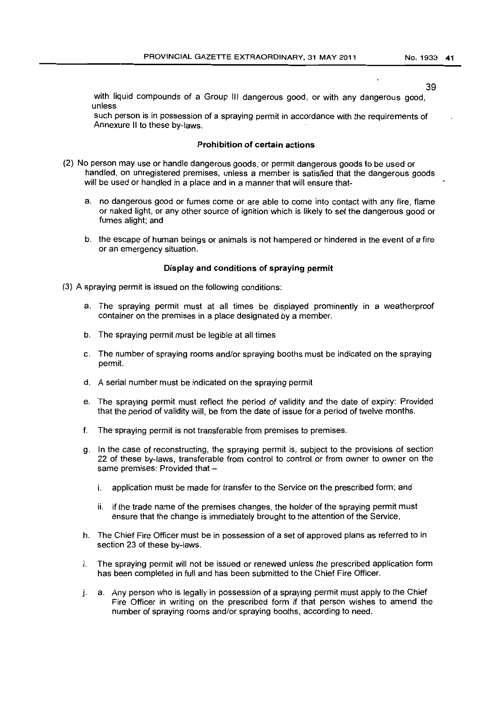with liquid compounds of a Group III dangerous good, or with any dangerous good, unless

such person is in possession of a spraying permit in accordance with the requirements of Annexure II to these by-laws.

#### **Prohibition of certain actions**

- (2) No person may use or handle dangerous goods, or permit dangerous goods to be used or handled, on unregistered premises, unless a member is satisfied that the dangerous goods will be used or handled in a place and in a manner that will ensure that
	- a. no dangerous good or fumes come or are able to come into contact with any fire, flame or naked light, or any other source of ignition which is likely to set the dangerous good or fumes alight; and
	- b. the escape of human beings or animals is not hampered or hindered in the event of a fire or an emergency situation.

#### **Display and conditions of spraying permit**

- (3) A spraying permit is issued on the following conditions:
	- a. The spraying permit must at all times be displayed prominently in a weatherproof container on the premises in a place designated by a member.
	- b. The spraying permit must be legible at all times
	- c. The number of spraying rooms and/or spraying booths must be indicated on the spraying permit.
	- d. A serial number must be indicated on the spraying permit
	- e. The spraying permit must reflect the period of validity and the date of expiry: Provided that the period of validity will, be from the date of issue for a period of twelve months.
	- f. The spraying permit is not transferable from premises to premises.
	- g. In the case of reconstructing, the spraying permit is, subject to the provisions of section 22 of these by-laws, transferable from control to control or from owner to owner on the same premises: Provided that
		- i. application must be made for transfer to the Service on the prescribed form; and
		- ii. if the trade name of the premises changes, the holder of the spraying permit must ensure that the change is immediately brought to the attention of the Service,
	- h. The Chief Fire Officer must be in possession of a set of approved plans as referred to in section 23 of these by-laws.
	- i. The spraying permit will not be issued or renewed unless the prescribed application form has been completed in full and has been submitted to the Chief Fire Officer.
	- j. a. Any person who is legally in possession of a spraying permit must apply to the Chief Fire Officer in writing on the prescribed form if that person wishes to amend the number of spraying rooms and/or spraying booths, according to need.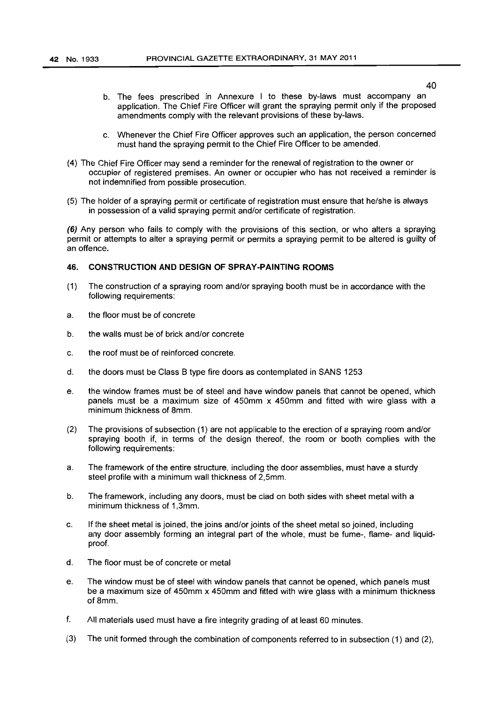- b. The fees prescribed in Annexure I to these by-laws must accompany an application. The Chief Fire Officer will grant the spraying permit only if the proposed amendments comply with the relevant provisions of these by-laws.
- c. Whenever the Chief Fire Officer approves such an application, the person concerned must hand the spraying permit to the Chief Fire Officer to be amended.
- (4) The Chief Fire Officer may send a reminder for the renewal of registration to the owner or occupier of registered premises. An owner or occupier who has not received a reminder is not indemnified from possible prosecution.
- (5) The holder of a spraying permit or certificate of registration must ensure that he/she is always in possession of a valid spraying permit and/or certificate of registration.

(6) Any person who fails to comply with the provisions of this section, or who alters a spraying permit or attempts to alter a spraying permit or permits a spraying permit to be altered is guilty of an offence.

#### 46. CONSTRUCTION AND DESIGN OF SPRAY-PAINTING ROOMS

- (1) The construction of a spraying room and/or spraying booth must be in accordance with the following requirements:
- a. the floor must be of concrete
- b. the walls must be of brick and/or concrete
- c. the roof must be of reinforced concrete.
- d. the doors must be Class B type fire doors as contemplated in SANS 1253
- e. the window frames must be of steel and have window panels that cannot be opened, which panels must be a maximum size of 450mm x 450mm and fitted with wire glass with a minimum thickness of 8mm.
- (2) The provisions of subsection (1) are not applicable to the erection of a spraying room and/or spraying booth if, in terms of the design thereof, the room or booth complies with the following requirements:
- a. The framework of the entire structure, including the door assemblies, must have a sturdy steel profile with a minimum wall thickness of 2,5mm.
- b. The framework, including any doors, must be clad on both sides with sheet metal with a minimum thickness of 1,3mm.
- C. If the sheet metal is joined, the joins and/or joints of the sheet metal so joined, including any door assembly forming an integral part of the whole, must be fume-, flame- and liquidproof.
- d. The floor must be of concrete or metal
- e. The window must be of steel with window panels that cannot be opened, which panels must be a maximum size of 450mm x 450mm and fitted with wire glass with a minimum thickness of8mm.
- f. All materials used must have a fire integrity grading of at least 60 minutes.
- (3) The unit formed through the combination of components referred to in subsection (1) and (2),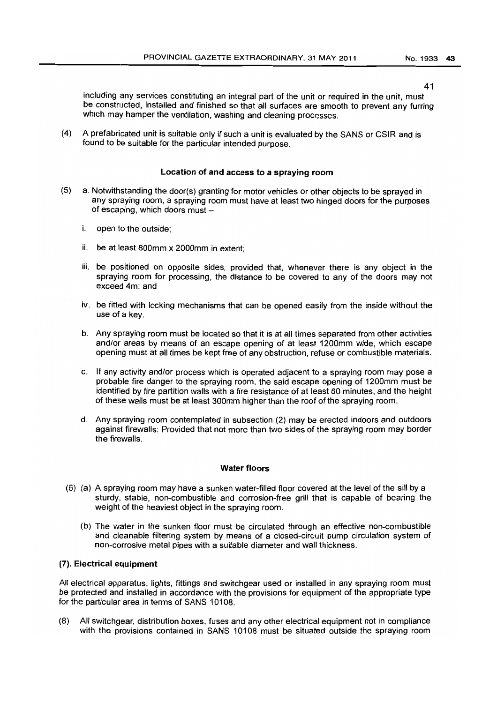including any services constituting an integral part of the unit or required in the unit, must be constructed, installed and finished so that all surfaces are smooth to prevent any furring which may hamper the ventilation, washing and cleaning processes.

(4) A prefabricated unit is suitable only if such a unit is evaluated by the SANS or CSIR and is found to be suitable for the particular intended purpose.

#### Location of and access to a spraying room

- (5) a. Notwithstanding the door(s) granting for motor vehicles or other objects to be sprayed in any spraying room, a spraying room must have at least two hinged doors for the purposes of escaping, which doors must
	- i. open to the outside;
	- ii. be at least 800mm x 2000mm in extent;
	- iii. be positioned on opposite sides, provided that, whenever there is any object in the spraying room for processing, the distance to be covered to any of the doors may not exceed 4m; and
	- iv. be fitted with locking mechanisms that can be opened easily from the inside without the use of a key.
	- b. Any spraying room must be located so that it is at all times separated from other activities and/or areas by means of an escape opening of at least 1200mm wide, which escape opening must at all times be kept free of any obstruction, refuse or combustible materials.
	- c. If any activity and/or process which is operated adjacent to a spraying room may pose a probable fire danger to the spraying room, the said escape opening of 1200mm must be identified by fire partition walls with a fire resistance of at least 60 minutes, and the height of these walls must be at least 300mm higher than the roof of the spraying room.
	- d. Any spraying room contemplated in subsection (2) may be erected indoors and outdoors against firewalls: Provided that not more than two sides of the spraying room may border the firewalls.

#### Water floors

- (6) (a) A spraying room may have a sunken water-filled floor covered at the level of the sill by a sturdy, stable, non-combustible and corrosion-free grill that is capable of bearing the weight of the heaviest object in the spraying room.
	- (b) The water in the sunken floor must be circulated through an effective non-combustible and cleanable filtering system by means of a closed-circuit pump circulation system of non-corrosive metal pipes with a suitable diameter and wall thickness.

#### (7). Electrical equipment

All electrical apparatus, lights, fittings and switchgear used or installed in any spraying room must be protected and installed in accordance with the provisions for equipment of the appropriate type for the particular area in terms of SANS 10108.

(8) All switchgear, distribution boxes, fuses and any other electrical equipment not in compliance with the provisions contained in SANS 10108 must be situated outside the spraying room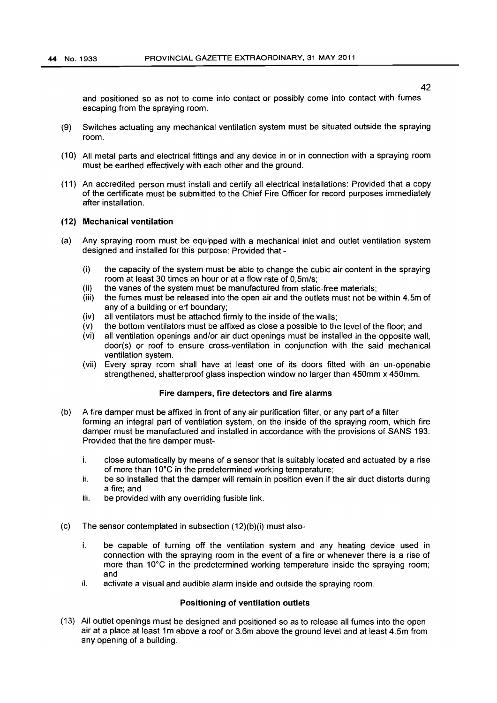and positioned so as not to come into contact or possibly come into contact with fumes escaping from the spraying room.

- (9) Switches actuating any mechanical ventilation system must be situated outside the spraying room.
- (10) All metal parts and electrical fittings and any device in or in connection with a spraying room must be earthed effectively with each other and the ground.
- (11) An accredited person must install and certify all electrical installations: Provided that a copy of the certificate must be submitted to the Chief Fire Officer for record purposes immediately after installation.

#### (12) Mechanical ventilation

- (a) Any spraying room must be equipped with a mechanical inlet and outlet ventilation system designed and installed for this purpose: Provided that
	- (i) the capacity of the system must be able to change the cubic air content in the spraying room at least 30 times an hour or at a flow rate of O,Sm/s;
	- (ii) the vanes of the system must be manufactured from static-free materials;
	- (iii) the fumes must be released into the open air and the outlets must not be within 4.Sm of any of a building or erf boundary;
	- (iv) all ventilators must be attached firmly to the inside of the walls;
	- (v) the bottom ventilators must be affixed as close a possible to the level of the floor; and
	- (vi) all ventilation openings and/or air duct openings must be installed in the opposite wall, door(s) or roof to ensure cross-ventilation in conjunction with the said mechanical ventilation system.
	- (vii) Every spray room shall have at least one of its doors fitted with an un-openable strengthened, shatterproof glass inspection window no larger than 450mm x 4S0mm.

#### Fire dampers, fire detectors and fire alarms

- (b) A fire damper must be affixed in front of any air purification filter, or any part of a filter forming an integral part of ventilation system, on the inside of the spraying room, which fire damper must be manufactured and installed in accordance with the provisions of SANS 193: Provided that the fire damper must
	- i. close automatically by means of a sensor that is suitably located and actuated by a rise of more than 10°C in the predetermined working temperature;
	- ii. be so installed that the damper will remain in position even if the air duct distorts during a fire; and
	- iii. be provided with any overriding fusible link.
- (c) The sensor contemplated in subsection (12)(b)(i) must also
	- i. be capable of turning off the ventilation system and any heating device used in connection with the spraying room in the event of a fire or whenever there is a rise of more than 10°C in the predetermined working temperature inside the spraying room; and
	- ii. activate a visual and audible alarm inside and outside the spraying room.

#### Positioning of ventilation outlets

(13) All outlet openings must be designed and positioned so as to release all fumes into the open air at a place at least 1m above a roof or 3.6m above the ground level and at least 4.5m from any opening of a building.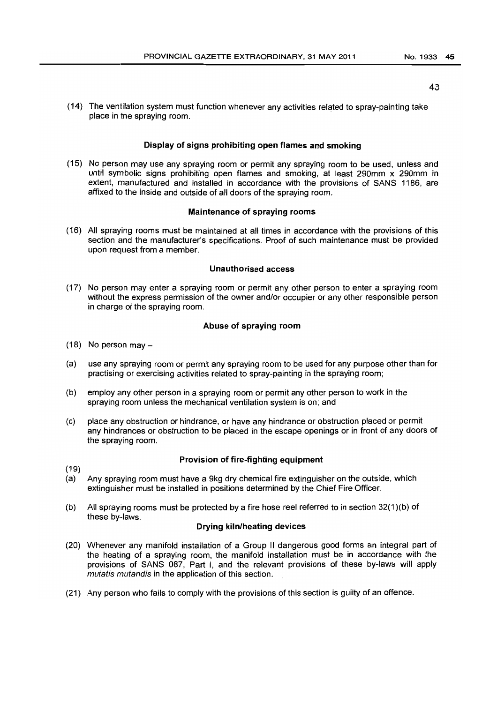(14) The ventilation system must function whenever any activities related to spray-painting take place in the spraying room. .

#### Display of signs prohibiting open flames and smoking

(15) No person may use any spraying room or permit any spraying room to be used, unless and until symbolic signs prohibiting open flames and smoking, at least 290mm x 290mm in extent, manufactured and installed in accordance with the provisions of SANS 1186, are affixed to the inside and outside of all doors of the spraying room.

#### Maintenance of spraying rooms

(16) All spraying rooms must be maintained at all times in accordance with the provisions of this section and the manufacturer's specifications. Proof of such maintenance must be provided upon request from a member.

#### Unauthorised access

(17) No person may enter a spraying room or permit any other person to enter a spraying room without the express permission of the owner and/or occupier or any other responsible person in charge of the spraying room.

#### Abuse of spraying room

- $(18)$  No person may  $-$
- (a) use any spraying room or permit any spraying room to be used for any purpose other than for practising or exercising activities related to spray-painting in the spraying room;
- (b) employ any other person in a spraying room or permit any other person to work in the spraying room unless the mechanical ventilation system is on; and
- (c) place any obstruction or hindrance, or have any hindrance or obstruction placed or permit any hindrances or obstruction to be placed in the escape openings or in front of any doors of the spraying room.

#### Provision of fire-fighting equipment

- (19)
- (a) Any spraying room must have a 9kg dry chemical fire extinguisher on the outside, which extinguisher must be installed in positions determined by the Chief Fire Officer.
- (b) All spraying rooms must be protected by a fire hose reel referred to in section 32(1 )(b) of these by-laws.

#### Drying kiln/heating devices

- (20) Whenever any manifold installation of a Group II dangerous good forms an integral part of the heating of a spraying room, the manifold installation must be in accordance with the provisions of SANS 087, Part I, and the relevant provisions of these by-laws will apply mutatis mutandis in the application of this section.
- (21) Any person who fails to comply with the provisions of this section is guilty of an offence.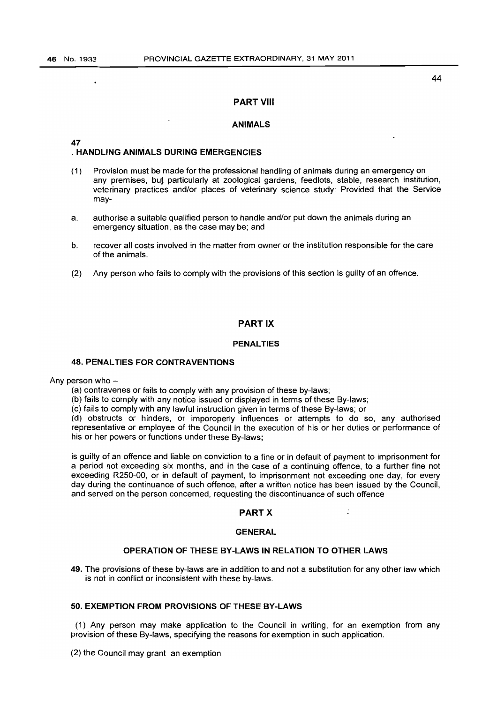#### PART VIII

#### ANIMALS

47

#### . HANDLING ANIMALS DURING EMERGENCIES

- (1) Provision must be made for the professional handling of animals during an emergency on any premises, but particularly at zoological gardens, feedlots, stable, research institution, veterinary practices and/or places of veterinary science study: Provided that the Service may-
- a. authorise a suitable qualified person to handle and/or put down the animals during an emergency situation, as the case may be; and
- b. recover all costs involved in the matter from owner or the institution responsible for the care of the animals.
- (2) Any person who fails to comply with the provisions of this section is guilty of an offence.

#### PART IX

#### PENALTIES

#### **48. PENALTIES FOR CONTRAVENTIONS**

Any person who  $-$ 

- (a) contravenes or fails to comply with any provision of these by-laws;
- (b) fails to comply with any notice issued or displayed in terms of these By-laws;

(c) fails to comply with any lawful instruction given in terms of these By-laws; or

(d) obstructs or hinders, or imporoperly influences or attempts to do so, any authorised representative or employee of the Council in the execution of his or her duties or performance of his or her powers or functions under these By-laws;

is guilty of an offence and liable on conviction to a fine or in default of payment to imprisonment for a period not exceeding six months, and in the case of a continuing offence, to a further fine not exceeding R250-00, or in default of payment, to imprisonment not exceeding one day, for every day during the continuance of such offence, after a written notice has been issued by the Council, and served on the person concerned, requesting the discontinuance of such offence

#### PART X

#### GENERAL

#### OPERATION OF THESE BY-LAWS IN RELATION TO OTHER LAWS

49. The provisions of these by-laws are in addition to and not a substitution for any other law which is not in conflict or inconsistent with these by-laws.

#### 50. EXEMPTION FROM PROVISIONS OF THESE BY-LAWS

(1) Any person may make application to the Council in writing, for an exemption from any provision of these By-laws, specifying the reasons for exemption in such application.

(2) the Council may grant an exemption-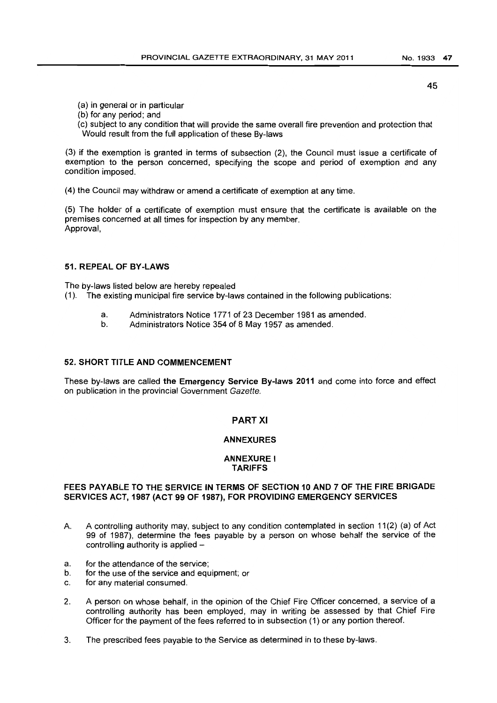(a) in general or in particular

(b) for any period; and

(c) subject to any condition that will provide the same overall fire prevention and protection that Would result from the full application of these By-laws

(3) if the exemption is granted in terms of subsection (2). the Council must issue a certificate of exemption to the person concerned. specifying the scope and period of exemption and any condition imposed.

(4) the Council may withdraw or amend a certificate of exemption at any time.

(5) The holder of a certificate of exemption must ensure that the certificate is available on the premises concerned at all times for inspection by any member. Approval.

#### 51. REPEAL OF BY-LAWS

The by-laws listed below are hereby repealed

(1). The existing municipal fire service by-laws contained in the following publications:

- a. Administrators Notice 1771 of 23 December 1981 as amended.
- b. Administrators Notice 354 of 8 May 1957 as amended.

#### 52. SHORT TITLE AND COMMENCEMENT

These by-laws are called the Emergency Service By-laws 2011 and come into force and effect on publication in the provincial Government Gazette.

#### PART XI

#### ANNEXURES

#### ANNEXURE I TARIFFS

#### FEES PAYABLE TO THE SERVICE IN TERMS OF SECTION 10 AND 7 OF THE FIRE BRIGADE SERVICES ACT, 1987 (ACT 99 OF 1987), FOR PROVIDING EMERGENCY SERVICES

- A. A controlling authority may. subject to any condition contemplated in section 11 (2) (a) of Act 99 of 1987}, determine the fees payable by a person on whose behalf the service of the controlling authority is applied -
- a. for the attendance of the service;
- b. for the use of the service and equipment; or
- c. for any material consumed.
- 2. A person on whose behalf, in the opinion of the Chief Fire Officer concerned, a service of a controlling authority has been employed, may in writing be assessed by that Chief Fire Officer for the payment of the fees referred to in subsection (1) or any portion thereof.
- 3. The prescribed fees payable to the Service as determined in to these by-laws.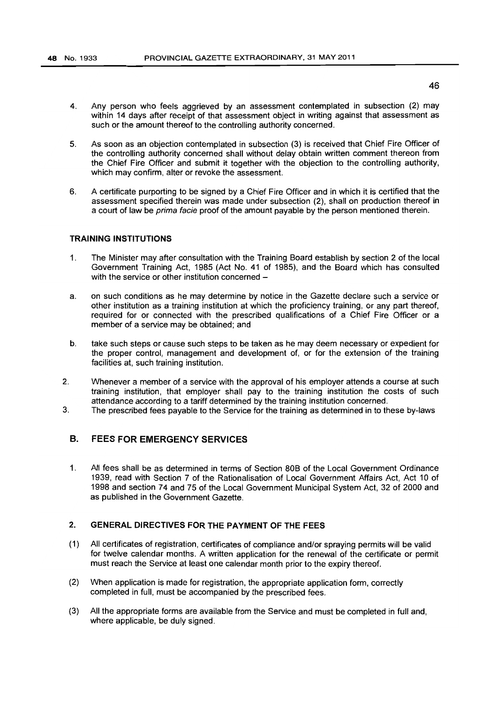- 4. Any person who feels aggrieved by an assessment contemplated in subsection (2) may within 14 days after receipt of that assessment object in writing against that assessment as such or the amount thereof to the controlling authority concerned.
- 5. As soon as an objection contemplated in subsection (3) is received that Chief Fire Officer of the controlling authority concerned shall without delay obtain written comment thereon from the Chief Fire Officer and submit it together with the objection to the controlling authority. which may confirm, alter or revoke the assessment.
- 6. A certificate purporting to be signed by a Chief Fire Officer and in which it is certified that the assessment specified therein was made under subsection (2), shall on production thereof in a court of law be prima facie proof of the amount payable by the person mentioned therein.

#### **TRAINING INSTITUTIONS**

- 1. The Minister may after consultation with the Training Board establish by section 2 of the local Government Training Act. 1985 (Act No. 41 of 1985). and the Board which has consulted with the service or other institution concerned  $-$
- a. on such conditions as he may determine by notice in the Gazette declare such a service or other institution as a training institution at which the proficiency training, or any part thereof. required for or connected with the prescribed qualifications of a Chief Fire Officer or a member of a service may be obtained; and
- b. take such steps or cause such steps to be taken as he may deem necessary or expedient for the proper control. management and development of, or for the extension of the training facilities at. such training institution.
- 2. Whenever a member of a service with the approval of his employer attends a course at such training institution, that employer shall pay to the training institution the costs of such attendance according to a tariff determined by the training institution concerned.
- 3. The prescribed fees payable to the Service for the training as determined in to these by-laws

#### **B. FEES FOR EMERGENCY SERVICES**

1. All fees shall be as determined in terms of Section 80B of the Local Government Ordinance 1939. read with Section 7 of the Rationalisation of Local Government Affairs Act, Act 10 of 1998 and section 74 and 75 of the Local Government Municipal System Act, 32 of 2000 and as published in the Government Gazette.

#### **2. GENERAL DIRECTIVES FOR THE PAYMENT OF THE FEES**

- (1) All certificates of registration, certificates of compliance and/or spraying permits will be valid for twelve calendar months. A written application for the renewal of the certificate or permit must reach the Service at least one calendar month prior to the expiry thereof.
- (2) When application is made for registration, the appropriate application form, correctly completed in full, must be accompanied by the prescribed fees.
- (3) All the appropriate forms are available from the Service and must be completed in full and. where applicable, be duly signed.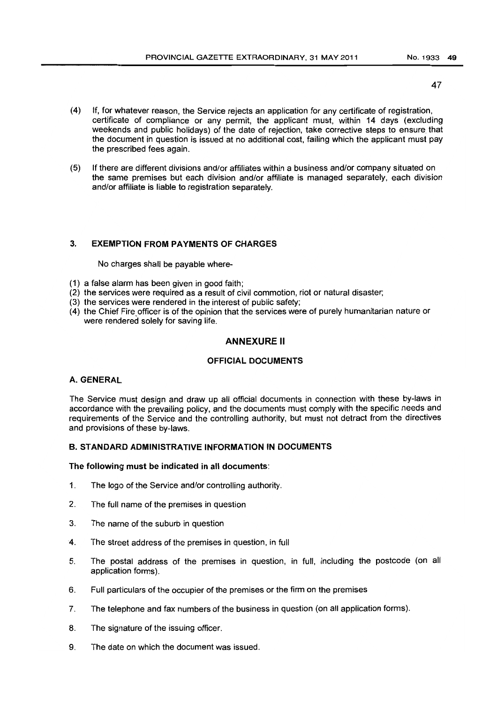- (4) If, for whatever reason, the Service rejects an application for any certificate of registration, certificate of compliance or any permit, the applicant must, within 14 days (excluding weekends and public holidays) of the date of rejection, take corrective steps to ensure that the document in question is issued at no additional cost, failing which the applicant must pay the prescribed fees again.
- (5) If there are different divisions and/or affiliates within a business and/or company situated on the same premises but each division and/or affiliate is managed separately, each division and/or affiliate is liable to registration separately.

#### 3. EXEMPTION FROM PAYMENTS OF CHARGES

No charges shall be payable where-

- (1) a false alarm has been given in good faith;
- (2) the services were required as a result of civil commotion, riot or natural disaster;
- (3) the services were rendered in the interest of public safety;
- (4) the Chief Fire officer is of the opinion that the services were of purely humanitarian nature or were rendered solely for saving life.

#### ANNEXURE II

#### OFFICIAL DOCUMENTS

#### A.GENERAL

The Service must design and draw up all official documents in connection with these by-laws in accordance with the prevailing policy, and the documents must comply with the specific needs and requirements of the Service and the controlling authority, but must not detract from the directives and provisions of these by-laws.

#### B. STANDARD ADMINISTRATIVE INFORMATION IN DOCUMENTS

#### The following must be indicated in all documents:

- 1. The logo of the Service and/or controlling authority.
- 2. The full name of the premises in question
- 3. The name of the suburb in question
- 4. The street address of the premises in question, in full
- 5. The postal address of the premises in question, in full, including the postcode (on all application forms).
- 6. Full particulars of the occupier of the premises or the firm on the premises
- 7. The telephone and fax numbers of the business in question (on all application forms).
- 8. The signature of the issuing officer.
- 9. The date on which the document was issued.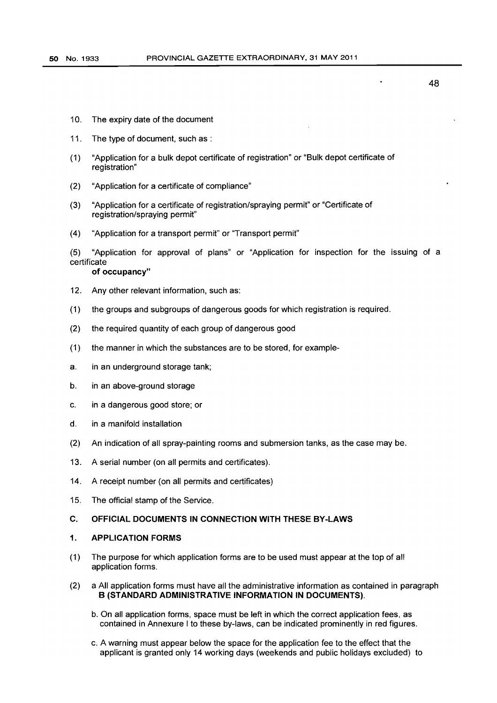- 10. The expiry date of the document
- 11. The type of document, such as :
- (1) "Application for a bulk depot certificate of registration" or "Bulk depot certificate of registration"
- (2) "Application for a certificate of compliance"
- (3) "Application for a certificate of registration/spraying permit" or "Certificate of registration/spraying permit"
- (4) "Application for a transport permit" or "Transport permit"
- (5) "Application for approval of plans" or "Application for inspection for the issuing of a certificate

#### of occupancy"

- 12. Any other relevant information, such as:
- (1) the groups and subgroups of dangerous goods for which registration is required.
- (2) the required quantity of each group of dangerous good
- (1) the manner in which the substances are to be stored, for example-
- a. in an underground storage tank;
- b. in an above-ground storage
- c. in a dangerous good store; or
- d. in a manifold installation
- (2) An indication of all spray-painting rooms and submersion tanks, as the case may be.
- 13. A serial number (on all permits and certificates).
- 14. A receipt number (on all permits and certificates)
- 15. The official stamp of the Service.
- C. OFFICIAL DOCUMENTS IN CONNECTION WITH THESE BY-LAWS

#### 1. APPLICATION FORMS

- (1) The purpose for which application forms are to be used must appear at the top of all application forms.
- (2) a All application forms must have all the administrative information as contained in paragraph B (STANDARD ADMINISTRATIVE INFORMATION IN DOCUMENTS).
	- b. On all application forms, space must be left in which the correct application fees, as contained in Annexure I to these by-laws, can be indicated prominently in red figures.
	- c. A warning must appear below the space for the application fee to the effect that the applicant is granted only 14 working days (weekends and public holidays excluded) to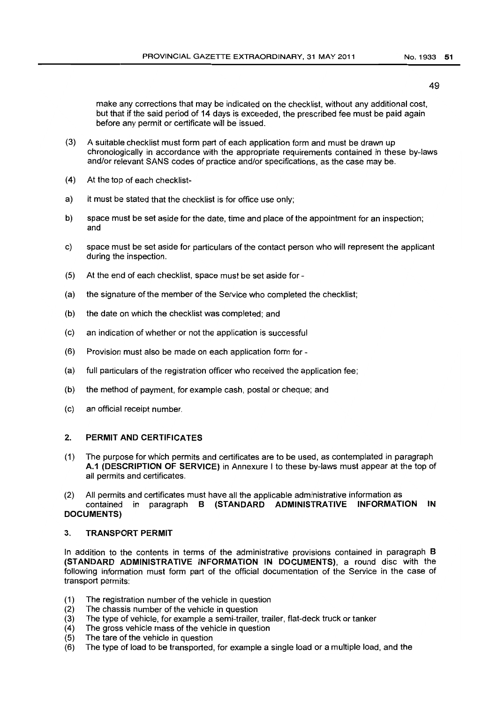make any corrections that may be indicated on the checklist, without any additional cost, but that if the said period of 14 days is exceeded, the prescribed fee must be paid again before any permit or certificate will be issued.

- (3) A suitable checklist must form part of each application form and must be drawn up chronologically in accordance with the appropriate requirements contained in these by-laws and/or relevant SANS codes of practice and/or specifications, as the case may be.
- (4) At the top of each checklist-
- a) it must be stated that the checklist is for office use only;
- b) space must be set aside for the date, time and place of the appointment for an inspection; and
- c) space must be set aside for particulars of the contact person who will represent the applicant during the inspection.
- (5) At the end of each checklist, space must be set aside for-
- (a) the signature of the member of the Service who completed the checklist;
- (b) the date on which the checklist was completed; and
- (c) an indication of whether or not the application is successful
- (6) Provision must also be made on each application form for -
- (a) full particulars of the registration officer who received the application fee:
- (b) the method of payment, for example cash, postal or cheque; and
- (c) an official receipt number.

#### 2. PERMIT **AND** CERTIFICATES

- (1) The purpose for which permits and certificates are to be used, as contemplated in paragraph A.1 (DESCRIPTION OF SERVICE) in Annexure I to these by-laws must appear at the top of all permits and certificates.
- (2) All permits and certificates must have all the applicable administrative information as contained in paragraph B (STANDARD ADMINISTRATIVE INFORMATION IN DOCUMENTS)

#### 3. TRANSPORT PERMIT

In addition to the contents in terms of the administrative provisions contained in paragraph **B** (STANDARD ADMINISTRATIVE INFORMATION IN DOCUMENTS), a round disc with the following information must form part of the official documentation of the Service in the case of transport permits:

- (1) The registration number of the vehicle in question
- (2) The chassis number of the vehicle in question
- (3) The type of vehicle, for example a semi-trailer, trailer, flat-deck truck or tanker
- (4) The gross vehicle mass of the vehicle in question
- (5) The tare of the vehicle in question
- (6) The type of load to be transported, for example a single load or a multiple load, and the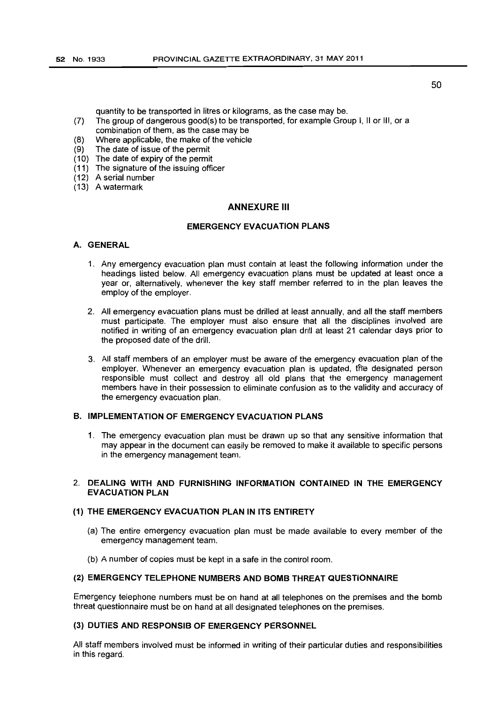quantity to be transported in litres or kilograms, as the case may be.

- (7) The group of dangerous good(s) to be transported, for example Group I, II or III, or a combination of them, as the case may be
- (8) Where applicable, the make of the vehicle
- (9) The date of issue of the permit
- (10) The date of expiry of the permit
- (11) The signature of the issuing officer
- (12) A serial number
- (13) A watermark

#### ANNEXURE III

#### EMERGENCY EVACUATION PLANS

#### A. GENERAL

- 1. Any emergency evacuation plan must contain at least the following information under the headings listed below. All emergency evacuation plans must be updated at least once a year or, alternatively, whenever the key staff member referred to in the plan leaves the employ of the employer.
- 2. All emergency evacuation plans must be drilled at least annually, and all the staff members must participate. The employer must also ensure that all the disciplines involved are notified in writing of an emergency evacuation plan drill at least 21 calendar days prior to the proposed date of the drill.
- 3. All staff members of an employer must be aware of the emergency evacuation plan of the employer. Whenever an emergency evacuation plan is updated, the designated person responsible must collect and destroy all old plans that the emergency management members have in their possession to eliminate confusion as to the validity and accuracy of the emergency evacuation plan.

#### B. IMPLEMENTATION OF EMERGENCY EVACUATION PLANS

1. The emergency evacuation plan must be drawn up so that any sensitive information that may appear in the document can easily be removed to make it available to specific persons in the emergency management team.

#### 2. DEALING WITH AND FURNISHING INFORMATION CONTAINED IN THE EMERGENCY EVACUATION PLAN

#### (1) THE EMERGENCY EVACUATION PLAN IN ITS ENTIRETY

- (a) The entire emergency evacuation plan must be made available to every member of the emergency management team.
- (b) A number of copies must be kept in a safe in the control room.

#### (2) EMERGENCY TELEPHONE NUMBERS AND BOMB THREAT QUESTIONNAIRE

Emergency telephone numbers must be on hand at all telephones on the premises and the bomb threat questionnaire must be on hand at all designated telephones on the premises.

#### (3) DUTIES AND RESPONSIB OF EMERGENCY PERSONNEL

All staff members involved must be informed in writing of their particular duties and responsibilities in this regard.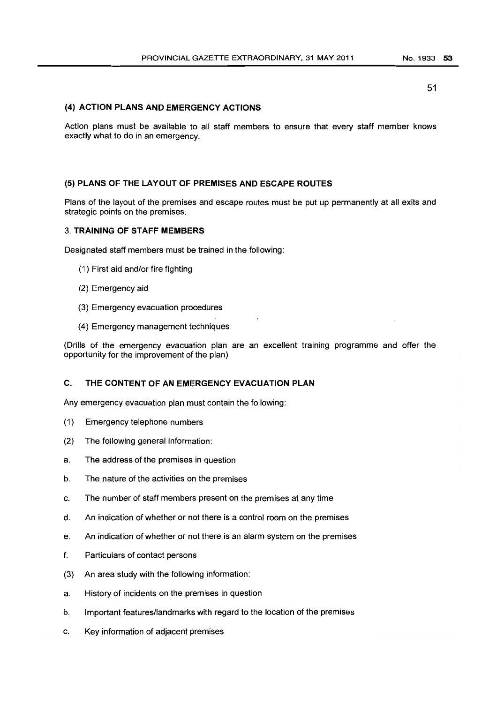#### (4) ACTION PLANS AND EMERGENCY ACTIONS

Action plans must be available to all staff members to ensure that every staff member knows exactly what to do in an emergency.

#### (5) PLANS OF THE LAYOUT OF PREMISES AND ESCAPE ROUTES

Plans of the layout of the premises and escape routes must be put up permanently at all exits and strategic points on the premises.

#### 3. TRAINING OF STAFF MEMBERS

Designated staff members must be trained in the following:

- (1) First aid and/or fire fighting
- (2) Emergency aid
- (3) Emergency evacuation procedures
- (4) Emergency management techniques

(Drills of the emergency evacuation plan are an excellent training programme and offer the opportunity for the improvement of the plan)

#### C. THE CONTENT OF AN EMERGENCY EVACUATION PLAN

Any emergency evacuation plan must contain the following:

- (1) Emergency telephone numbers
- (2) The following general information:
- a. The address of the premises in question
- b. The nature of the activities on the premises
- c. The number of staff members present on the premises at any time
- d. An indication of whether or not there is a control room on the premises
- e. An indication of whether or not there is an alarm system on the premises
- f. Particulars of contact persons
- (3) An area study with the following information:
- a. History of incidents on the premises in question
- b. Important features/landmarks with regard to the location of the premises
- c. Key information of adjacent premises